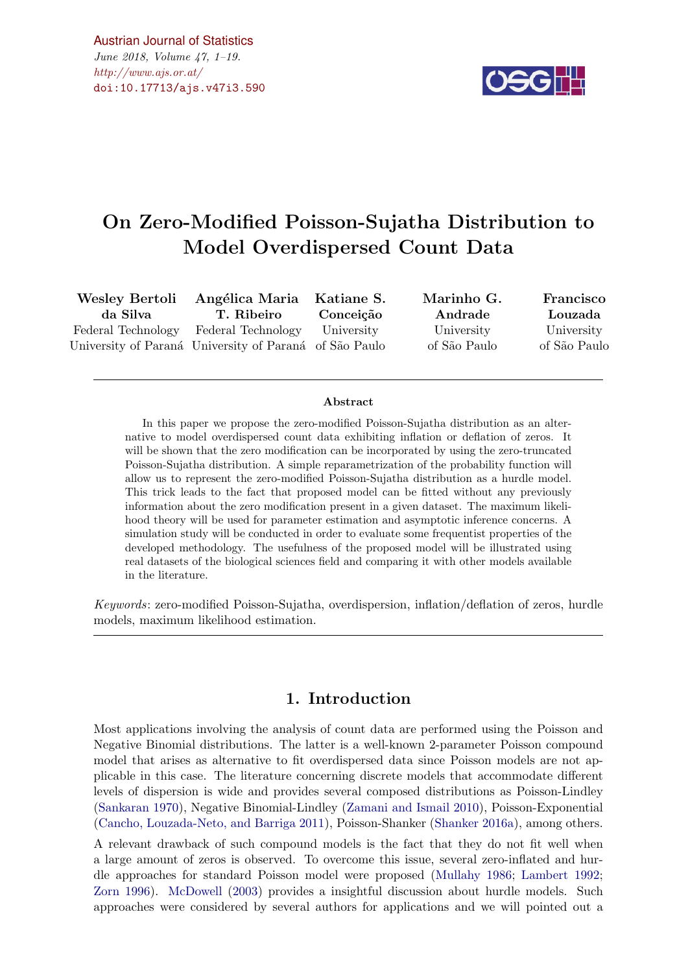$\#http://www.ajs.or.at/$  $\#http://www.ajs.or.at/$ [Austrian Journal of Statistics](http://www.ajs.or.at) June 2018, Volume 47, 1–19.

[doi:10.17713/ajs.v47i3.590](http://dx.doi.org/10.17713/ajs.v47i3.590)



# On Zero-Modified Poisson-Sujatha Distribution to Model Overdispersed Count Data

Wesley Bertoli da Silva Federal Technology University of Paraná University of Paraná of São Paulo Angélica Maria T. Ribeiro Federal Technology Katiane S. Conceição University Marinho G. Andrade University of S˜ao Paulo Francisco Louzada University of S˜ao Paulo

#### Abstract

In this paper we propose the zero-modified Poisson-Sujatha distribution as an alternative to model overdispersed count data exhibiting inflation or deflation of zeros. It will be shown that the zero modification can be incorporated by using the zero-truncated Poisson-Sujatha distribution. A simple reparametrization of the probability function will allow us to represent the zero-modified Poisson-Sujatha distribution as a hurdle model. This trick leads to the fact that proposed model can be fitted without any previously information about the zero modification present in a given dataset. The maximum likelihood theory will be used for parameter estimation and asymptotic inference concerns. A simulation study will be conducted in order to evaluate some frequentist properties of the developed methodology. The usefulness of the proposed model will be illustrated using real datasets of the biological sciences field and comparing it with other models available in the literature.

Keywords: zero-modified Poisson-Sujatha, overdispersion, inflation/deflation of zeros, hurdle models, maximum likelihood estimation.

#### 1. Introduction

Most applications involving the analysis of count data are performed using the Poisson and Negative Binomial distributions. The latter is a well-known 2-parameter Poisson compound model that arises as alternative to fit overdispersed data since Poisson models are not applicable in this case. The literature concerning discrete models that accommodate different levels of dispersion is wide and provides several composed distributions as Poisson-Lindley [\(Sankaran](#page-17-0) [1970\)](#page-17-0), Negative Binomial-Lindley [\(Zamani and Ismail](#page-17-1) [2010\)](#page-17-1), Poisson-Exponential [\(Cancho, Louzada-Neto, and Barriga](#page-16-0) [2011\)](#page-16-0), Poisson-Shanker [\(Shanker](#page-17-2) [2016a\)](#page-17-2), among others.

A relevant drawback of such compound models is the fact that they do not fit well when a large amount of zeros is observed. To overcome this issue, several zero-inflated and hurdle approaches for standard Poisson model were proposed [\(Mullahy](#page-17-3) [1986;](#page-17-3) [Lambert](#page-17-4) [1992;](#page-17-4) [Zorn](#page-17-5) [1996\)](#page-17-5). [McDowell](#page-17-6) [\(2003\)](#page-17-6) provides a insightful discussion about hurdle models. Such approaches were considered by several authors for applications and we will pointed out a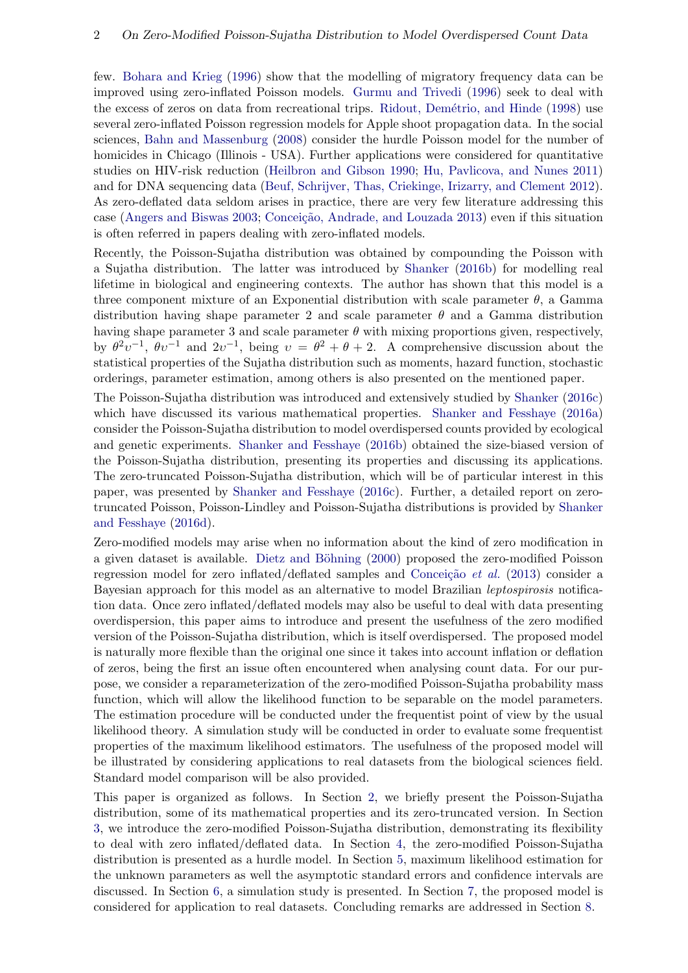few. [Bohara and Krieg](#page-16-1) [\(1996\)](#page-16-1) show that the modelling of migratory frequency data can be improved using zero-inflated Poisson models. [Gurmu and Trivedi](#page-16-2) [\(1996\)](#page-16-2) seek to deal with the excess of zeros on data from recreational trips. Ridout, Demétrio, and Hinde [\(1998\)](#page-17-7) use several zero-inflated Poisson regression models for Apple shoot propagation data. In the social sciences, [Bahn and Massenburg](#page-16-3) [\(2008\)](#page-16-3) consider the hurdle Poisson model for the number of homicides in Chicago (Illinois - USA). Further applications were considered for quantitative studies on HIV-risk reduction [\(Heilbron and Gibson](#page-16-4) [1990;](#page-16-4) [Hu, Pavlicova, and Nunes](#page-16-5) [2011\)](#page-16-5) and for DNA sequencing data [\(Beuf, Schrijver, Thas, Criekinge, Irizarry, and Clement](#page-16-6) [2012\)](#page-16-6). As zero-deflated data seldom arises in practice, there are very few literature addressing this case [\(Angers and Biswas](#page-16-7) [2003;](#page-16-7) Conceição, Andrade, and Louzada [2013\)](#page-16-8) even if this situation is often referred in papers dealing with zero-inflated models.

Recently, the Poisson-Sujatha distribution was obtained by compounding the Poisson with a Sujatha distribution. The latter was introduced by [Shanker](#page-17-8) [\(2016b\)](#page-17-8) for modelling real lifetime in biological and engineering contexts. The author has shown that this model is a three component mixture of an Exponential distribution with scale parameter  $\theta$ , a Gamma distribution having shape parameter 2 and scale parameter  $\theta$  and a Gamma distribution having shape parameter 3 and scale parameter  $\theta$  with mixing proportions given, respectively, by  $\theta^2 v^{-1}$ ,  $\theta v^{-1}$  and  $2v^{-1}$ , being  $v = \theta^2 + \theta + 2$ . A comprehensive discussion about the statistical properties of the Sujatha distribution such as moments, hazard function, stochastic orderings, parameter estimation, among others is also presented on the mentioned paper.

The Poisson-Sujatha distribution was introduced and extensively studied by [Shanker](#page-17-9) [\(2016c\)](#page-17-9) which have discussed its various mathematical properties. [Shanker and Fesshaye](#page-17-10) [\(2016a\)](#page-17-10) consider the Poisson-Sujatha distribution to model overdispersed counts provided by ecological and genetic experiments. [Shanker and Fesshaye](#page-17-11) [\(2016b\)](#page-17-11) obtained the size-biased version of the Poisson-Sujatha distribution, presenting its properties and discussing its applications. The zero-truncated Poisson-Sujatha distribution, which will be of particular interest in this paper, was presented by [Shanker and Fesshaye](#page-17-12) [\(2016c\)](#page-17-12). Further, a detailed report on zerotruncated Poisson, Poisson-Lindley and Poisson-Sujatha distributions is provided by [Shanker](#page-17-13) [and Fesshaye](#page-17-13) [\(2016d\)](#page-17-13).

Zero-modified models may arise when no information about the kind of zero modification in a given dataset is available. Dietz and Böhning [\(2000\)](#page-16-9) proposed the zero-modified Poisson regression model for zero inflated/deflated samples and Conceição et al. [\(2013\)](#page-16-8) consider a Bayesian approach for this model as an alternative to model Brazilian leptospirosis notification data. Once zero inflated/deflated models may also be useful to deal with data presenting overdispersion, this paper aims to introduce and present the usefulness of the zero modified version of the Poisson-Sujatha distribution, which is itself overdispersed. The proposed model is naturally more flexible than the original one since it takes into account inflation or deflation of zeros, being the first an issue often encountered when analysing count data. For our purpose, we consider a reparameterization of the zero-modified Poisson-Sujatha probability mass function, which will allow the likelihood function to be separable on the model parameters. The estimation procedure will be conducted under the frequentist point of view by the usual likelihood theory. A simulation study will be conducted in order to evaluate some frequentist properties of the maximum likelihood estimators. The usefulness of the proposed model will be illustrated by considering applications to real datasets from the biological sciences field. Standard model comparison will be also provided.

This paper is organized as follows. In Section [2,](#page-2-0) we briefly present the Poisson-Sujatha distribution, some of its mathematical properties and its zero-truncated version. In Section [3,](#page-3-0) we introduce the zero-modified Poisson-Sujatha distribution, demonstrating its flexibility to deal with zero inflated/deflated data. In Section [4,](#page-5-0) the zero-modified Poisson-Sujatha distribution is presented as a hurdle model. In Section [5,](#page-6-0) maximum likelihood estimation for the unknown parameters as well the asymptotic standard errors and confidence intervals are discussed. In Section [6,](#page-9-0) a simulation study is presented. In Section [7,](#page-12-0) the proposed model is considered for application to real datasets. Concluding remarks are addressed in Section [8.](#page-15-0)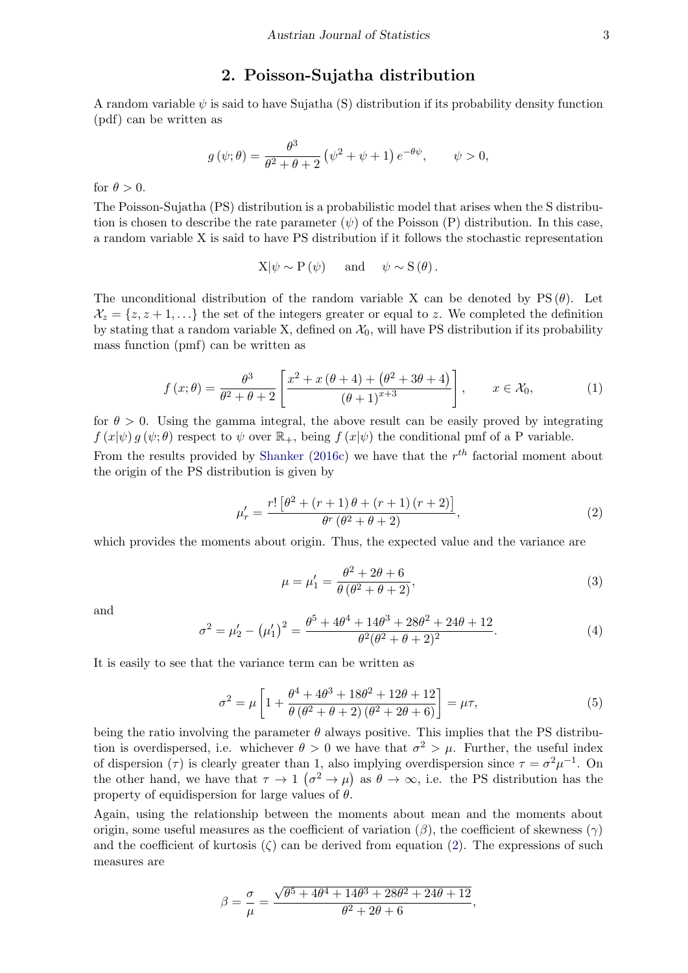#### 2. Poisson-Sujatha distribution

<span id="page-2-0"></span>A random variable  $\psi$  is said to have Sujatha (S) distribution if its probability density function (pdf) can be written as

$$
g(\psi; \theta) = \frac{\theta^3}{\theta^2 + \theta + 2} (\psi^2 + \psi + 1) e^{-\theta \psi}, \qquad \psi > 0,
$$

for  $\theta > 0$ .

The Poisson-Sujatha (PS) distribution is a probabilistic model that arises when the S distribution is chosen to describe the rate parameter  $(\psi)$  of the Poisson  $(P)$  distribution. In this case, a random variable X is said to have PS distribution if it follows the stochastic representation

$$
X|\psi \sim P(\psi)
$$
 and  $\psi \sim S(\theta)$ .

The unconditional distribution of the random variable X can be denoted by  $PS(\theta)$ . Let  $\mathcal{X}_z = \{z, z + 1, \ldots\}$  the set of the integers greater or equal to z. We completed the definition by stating that a random variable X, defined on  $\mathcal{X}_0$ , will have PS distribution if its probability mass function (pmf) can be written as

$$
f(x; \theta) = \frac{\theta^3}{\theta^2 + \theta + 2} \left[ \frac{x^2 + x(\theta + 4) + (\theta^2 + 3\theta + 4)}{(\theta + 1)^{x+3}} \right], \qquad x \in \mathcal{X}_0,
$$
 (1)

for  $\theta > 0$ . Using the gamma integral, the above result can be easily proved by integrating  $f(x|\psi) g(\psi;\theta)$  respect to  $\psi$  over  $\mathbb{R}_+$ , being  $f(x|\psi)$  the conditional pmf of a P variable. From the results provided by [Shanker](#page-17-9) [\(2016c\)](#page-17-9) we have that the  $r^{th}$  factorial moment about the origin of the PS distribution is given by

$$
\mu'_{r} = \frac{r! \left[ \theta^{2} + (r+1) \theta + (r+1) (r+2) \right]}{\theta^{r} (\theta^{2} + \theta + 2)},
$$
\n(2)

<span id="page-2-2"></span><span id="page-2-1"></span>which provides the moments about origin. Thus, the expected value and the variance are

$$
\mu = \mu_1' = \frac{\theta^2 + 2\theta + 6}{\theta(\theta^2 + \theta + 2)},
$$
\n(3)

<span id="page-2-3"></span>and

$$
\sigma^2 = \mu'_2 - (\mu'_1)^2 = \frac{\theta^5 + 4\theta^4 + 14\theta^3 + 28\theta^2 + 24\theta + 12}{\theta^2(\theta^2 + \theta + 2)^2}.
$$
\n(4)

It is easily to see that the variance term can be written as

$$
\sigma^2 = \mu \left[ 1 + \frac{\theta^4 + 4\theta^3 + 18\theta^2 + 12\theta + 12}{\theta(\theta^2 + \theta + 2)(\theta^2 + 2\theta + 6)} \right] = \mu \tau,
$$
\n(5)

being the ratio involving the parameter  $\theta$  always positive. This implies that the PS distribution is overdispersed, i.e. whichever  $\theta > 0$  we have that  $\sigma^2 > \mu$ . Further, the useful index of dispersion ( $\tau$ ) is clearly greater than 1, also implying overdispersion since  $\tau = \sigma^2 \mu^{-1}$ . On the other hand, we have that  $\tau \to 1$   $(\sigma^2 \to \mu)$  as  $\theta \to \infty$ , i.e. the PS distribution has the property of equidispersion for large values of  $\theta$ .

Again, using the relationship between the moments about mean and the moments about origin, some useful measures as the coefficient of variation  $(\beta)$ , the coefficient of skewness  $(\gamma)$ and the coefficient of kurtosis  $(\zeta)$  can be derived from equation [\(2\)](#page-2-1). The expressions of such measures are

$$
\beta = \frac{\sigma}{\mu} = \frac{\sqrt{\theta^5 + 4\theta^4 + 14\theta^3 + 28\theta^2 + 24\theta + 12}}{\theta^2 + 2\theta + 6},
$$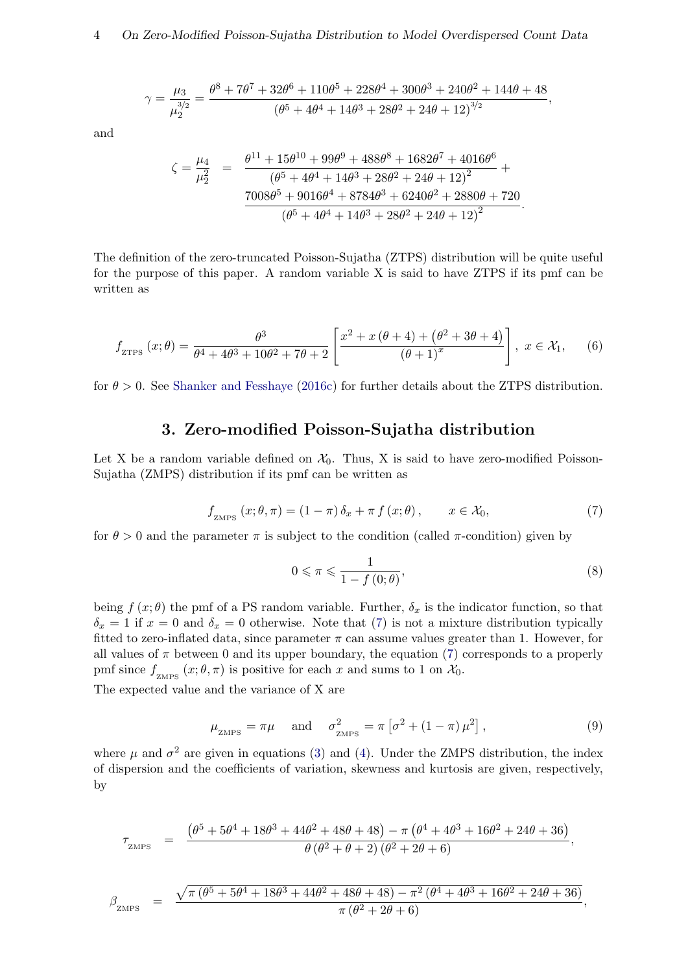$$
\gamma = \frac{\mu_3}{\mu_2^{3/2}} = \frac{\theta^8 + 7\theta^7 + 32\theta^6 + 110\theta^5 + 228\theta^4 + 300\theta^3 + 240\theta^2 + 144\theta + 48}{(\theta^5 + 4\theta^4 + 14\theta^3 + 28\theta^2 + 24\theta + 12)^{3/2}},
$$

and

$$
\zeta = \frac{\mu_4}{\mu_2^2} = \frac{\theta^{11} + 15\theta^{10} + 99\theta^9 + 488\theta^8 + 1682\theta^7 + 4016\theta^6}{(\theta^5 + 4\theta^4 + 14\theta^3 + 28\theta^2 + 24\theta + 12)^2} + \frac{7008\theta^5 + 9016\theta^4 + 8784\theta^3 + 6240\theta^2 + 2880\theta + 720}{(\theta^5 + 4\theta^4 + 14\theta^3 + 28\theta^2 + 24\theta + 12)^2}.
$$

<span id="page-3-2"></span>The definition of the zero-truncated Poisson-Sujatha (ZTPS) distribution will be quite useful for the purpose of this paper. A random variable X is said to have ZTPS if its pmf can be written as

$$
f_{\text{ZTPS}}\left(x;\theta\right) = \frac{\theta^3}{\theta^4 + 4\theta^3 + 10\theta^2 + 7\theta + 2} \left[ \frac{x^2 + x\left(\theta + 4\right) + \left(\theta^2 + 3\theta + 4\right)}{\left(\theta + 1\right)^x} \right], \ x \in \mathcal{X}_1,\tag{6}
$$

for  $\theta > 0$ . See [Shanker and Fesshaye](#page-17-12) [\(2016c\)](#page-17-12) for further details about the ZTPS distribution.

## 3. Zero-modified Poisson-Sujatha distribution

<span id="page-3-1"></span><span id="page-3-0"></span>Let X be a random variable defined on  $\mathcal{X}_0$ . Thus, X is said to have zero-modified Poisson-Sujatha (ZMPS) distribution if its pmf can be written as

$$
f_{\text{ZMPS}}\left(x;\theta,\pi\right) = \left(1-\pi\right)\delta_x + \pi f\left(x;\theta\right), \qquad x \in \mathcal{X}_0,\tag{7}
$$

for  $\theta > 0$  and the parameter  $\pi$  is subject to the condition (called  $\pi$ -condition) given by

$$
0 \leqslant \pi \leqslant \frac{1}{1 - f(0; \theta)},\tag{8}
$$

being  $f(x; \theta)$  the pmf of a PS random variable. Further,  $\delta_x$  is the indicator function, so that  $\delta_x = 1$  if  $x = 0$  and  $\delta_x = 0$  otherwise. Note that [\(7\)](#page-3-1) is not a mixture distribution typically fitted to zero-inflated data, since parameter  $\pi$  can assume values greater than 1. However, for all values of  $\pi$  between 0 and its upper boundary, the equation [\(7\)](#page-3-1) corresponds to a properly pmf since  $f_{\text{ZMPS}}(x;\theta,\pi)$  is positive for each x and sums to 1 on  $\mathcal{X}_0$ .

<span id="page-3-3"></span>The expected value and the variance of X are

$$
\mu_{\text{ZMPS}} = \pi \mu \quad \text{and} \quad \sigma_{\text{ZMPS}}^2 = \pi \left[ \sigma^2 + (1 - \pi) \mu^2 \right], \tag{9}
$$

where  $\mu$  and  $\sigma^2$  are given in equations [\(3\)](#page-2-2) and [\(4\)](#page-2-3). Under the ZMPS distribution, the index of dispersion and the coefficients of variation, skewness and kurtosis are given, respectively, by

$$
\tau_{\text{ZMPS}} = \frac{(\theta^5 + 5\theta^4 + 18\theta^3 + 44\theta^2 + 48\theta + 48) - \pi (\theta^4 + 4\theta^3 + 16\theta^2 + 24\theta + 36)}{\theta (\theta^2 + \theta + 2) (\theta^2 + 2\theta + 6)},
$$

$$
\beta_{\text{ZMPS}} = \frac{\sqrt{\pi (\theta^5 + 5\theta^4 + 18\theta^3 + 44\theta^2 + 48\theta + 48) - \pi^2 (\theta^4 + 4\theta^3 + 16\theta^2 + 24\theta + 36)}}{\pi (\theta^2 + 2\theta + 6)},
$$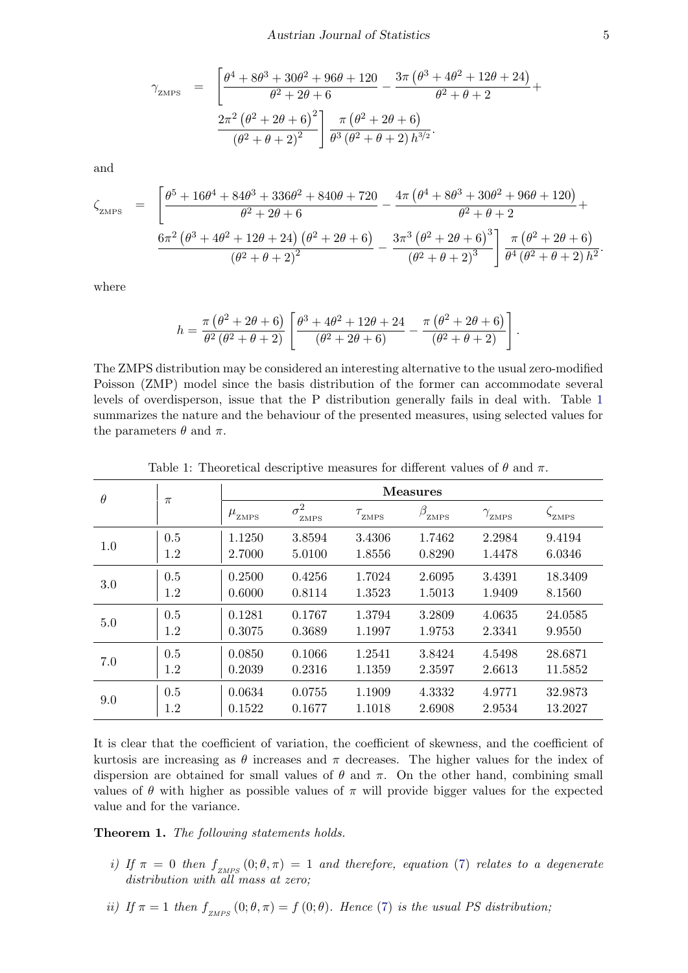$$
\gamma_{\text{ZMPS}} = \left[ \frac{\theta^4 + 8\theta^3 + 30\theta^2 + 96\theta + 120}{\theta^2 + 2\theta + 6} - \frac{3\pi(\theta^3 + 4\theta^2 + 12\theta + 24)}{\theta^2 + \theta + 2} + \frac{2\pi^2(\theta^2 + 2\theta + 6)^2}{(\theta^2 + \theta + 2)^2} \right] \frac{\pi(\theta^2 + 2\theta + 6)}{\theta^3(\theta^2 + \theta + 2)h^{3/2}}.
$$

and

$$
\zeta_{\text{ZMPS}} = \left[ \frac{\theta^5 + 16\theta^4 + 84\theta^3 + 336\theta^2 + 840\theta + 720}{\theta^2 + 2\theta + 6} - \frac{4\pi(\theta^4 + 8\theta^3 + 30\theta^2 + 96\theta + 120)}{\theta^2 + \theta + 2} + \frac{6\pi^2(\theta^3 + 4\theta^2 + 12\theta + 24)(\theta^2 + 2\theta + 6)}{(\theta^2 + \theta + 2)^2} - \frac{3\pi^3(\theta^2 + 2\theta + 6)^3}{(\theta^2 + \theta + 2)^3} \right] \frac{\pi(\theta^2 + 2\theta + 6)}{\theta^4(\theta^2 + \theta + 2)h^2}.
$$

where

$$
h = \frac{\pi (\theta^2 + 2\theta + 6)}{\theta^2 (\theta^2 + \theta + 2)} \left[ \frac{\theta^3 + 4\theta^2 + 12\theta + 24}{(\theta^2 + 2\theta + 6)} - \frac{\pi (\theta^2 + 2\theta + 6)}{(\theta^2 + \theta + 2)} \right].
$$

The ZMPS distribution may be considered an interesting alternative to the usual zero-modified Poisson (ZMP) model since the basis distribution of the former can accommodate several levels of overdisperson, issue that the P distribution generally fails in deal with. Table [1](#page-4-0) summarizes the nature and the behaviour of the presented measures, using selected values for the parameters  $\theta$  and  $\pi$ .

<span id="page-4-0"></span>

| $\theta$ | $\pi$ | <b>Measures</b>                  |                    |        |                    |                        |                          |  |  |
|----------|-------|----------------------------------|--------------------|--------|--------------------|------------------------|--------------------------|--|--|
|          |       | $\boldsymbol{\mu}_{\text{ZMPS}}$ | $\sigma^2$<br>ZMPS | ZMPS   | $\beta_{\rm zMPS}$ | $\gamma_{_{\rm ZMPS}}$ | $\mathcal{P}_{\rm ZMPS}$ |  |  |
| 1.0      | 0.5   | 1.1250                           | 3.8594             | 3.4306 | 1.7462             | 2.2984                 | 9.4194                   |  |  |
|          | 1.2   | 2.7000                           | 5.0100             | 1.8556 | 0.8290             | 1.4478                 | 6.0346                   |  |  |
| 3.0      | 0.5   | 0.2500                           | 0.4256             | 1.7024 | 2.6095             | 3.4391                 | 18.3409                  |  |  |
|          | 1.2   | 0.6000                           | 0.8114             | 1.3523 | 1.5013             | 1.9409                 | 8.1560                   |  |  |
| 5.0      | 0.5   | 0.1281                           | 0.1767             | 1.3794 | 3.2809             | 4.0635                 | 24.0585                  |  |  |
|          | 1.2   | 0.3075                           | 0.3689             | 1.1997 | 1.9753             | 2.3341                 | 9.9550                   |  |  |
| 7.0      | 0.5   | 0.0850                           | 0.1066             | 1.2541 | 3.8424             | 4.5498                 | 28.6871                  |  |  |
|          | 1.2   | 0.2039                           | 0.2316             | 1.1359 | 2.3597             | 2.6613                 | 11.5852                  |  |  |
| 9.0      | 0.5   | 0.0634                           | 0.0755             | 1.1909 | 4.3332             | 4.9771                 | 32.9873                  |  |  |
|          | 1.2   | 0.1522                           | 0.1677             | 1.1018 | 2.6908             | 2.9534                 | 13.2027                  |  |  |

Table 1: Theoretical descriptive measures for different values of  $\theta$  and  $\pi$ .

It is clear that the coefficient of variation, the coefficient of skewness, and the coefficient of kurtosis are increasing as  $\theta$  increases and  $\pi$  decreases. The higher values for the index of dispersion are obtained for small values of  $\theta$  and  $\pi$ . On the other hand, combining small values of  $\theta$  with higher as possible values of  $\pi$  will provide bigger values for the expected value and for the variance.

Theorem 1. The following statements holds.

- i) If  $\pi = 0$  then  $f_{Z\ MPS}(0;\theta,\pi) = 1$  and therefore, equation [\(7\)](#page-3-1) relates to a degenerate distribution with all mass at zero;
- ii) If  $\pi = 1$  then  $f_{ZMPS}(0;\theta,\pi) = f(0;\theta)$ . Hence [\(7\)](#page-3-1) is the usual PS distribution;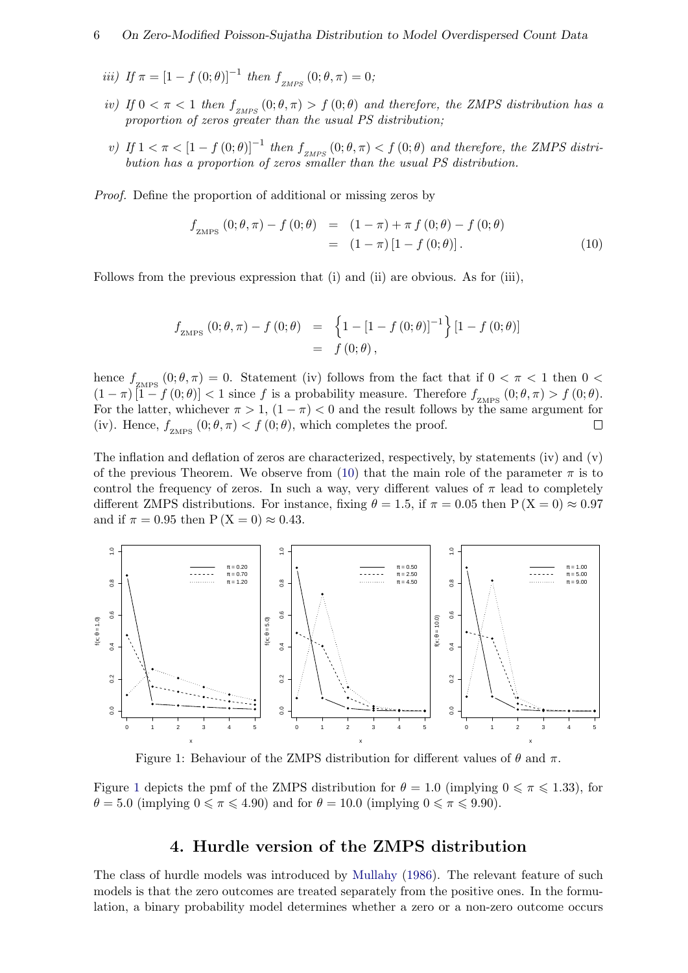- iii) If  $\pi = [1 f(0; \theta)]^{-1}$  then  $f_{ZMPS}(0; \theta, \pi) = 0$ ;
- iv) If  $0 < \pi < 1$  then  $f_{\text{ZMPS}}(0;\theta,\pi) > f(0;\theta)$  and therefore, the ZMPS distribution has a proportion of zeros greater than the usual PS distribution;
- v) If  $1 < \pi < [1 f(0; \theta)]^{-1}$  then  $f_{ZMPS}(0; \theta, \pi) < f(0; \theta)$  and therefore, the ZMPS distribution has a proportion of zeros smaller than the usual PS distribution.

Proof. Define the proportion of additional or missing zeros by

<span id="page-5-1"></span>
$$
f_{\text{ZMPS}}(0; \theta, \pi) - f(0; \theta) = (1 - \pi) + \pi f(0; \theta) - f(0; \theta)
$$
  
= 
$$
(1 - \pi) [1 - f(0; \theta)].
$$
 (10)

Follows from the previous expression that (i) and (ii) are obvious. As for (iii),

$$
f_{\text{ZMPS}}(0; \theta, \pi) - f(0; \theta) = \left\{1 - [1 - f(0; \theta)]^{-1}\right\} [1 - f(0; \theta)]
$$
  
= f(0; \theta),

hence  $f_{ZMPS}(0;\theta,\pi) = 0$ . Statement (iv) follows from the fact that if  $0 < \pi < 1$  then  $0 <$  $(1 - \pi) [1 - f(0; \theta)] < 1$  since f is a probability measure. Therefore  $f_{ZMPS}(0; \theta, \pi) > f(0; \theta)$ . For the latter, whichever  $\pi > 1$ ,  $(1 - \pi) < 0$  and the result follows by the same argument for (iv). Hence,  $f_{ZMPS} (0; \theta, \pi) < f (0; \theta)$ , which completes the proof. П

The inflation and deflation of zeros are characterized, respectively, by statements (iv) and (v) of the previous Theorem. We observe from [\(10\)](#page-5-1) that the main role of the parameter  $\pi$  is to control the frequency of zeros. In such a way, very different values of  $\pi$  lead to completely different ZMPS distributions. For instance, fixing  $\theta = 1.5$ , if  $\pi = 0.05$  then  $P(X = 0) \approx 0.97$ and if  $\pi = 0.95$  then  $P(X = 0) \approx 0.43$ .



Figure 1: Behaviour of the ZMPS distribution for different values of  $\theta$  and  $\pi$ .

Figure [1](#page-5-2) depicts the pmf of the ZMPS distribution for  $\theta = 1.0$  (implying  $0 \le \pi \le 1.33$ ), for  $\theta = 5.0$  (implying  $0 \le \pi \le 4.90$ ) and for  $\theta = 10.0$  (implying  $0 \le \pi \le 9.90$ ).

#### <span id="page-5-2"></span>4. Hurdle version of the ZMPS distribution

<span id="page-5-0"></span>The class of hurdle models was introduced by [Mullahy](#page-17-3) [\(1986\)](#page-17-3). The relevant feature of such models is that the zero outcomes are treated separately from the positive ones. In the formulation, a binary probability model determines whether a zero or a non-zero outcome occurs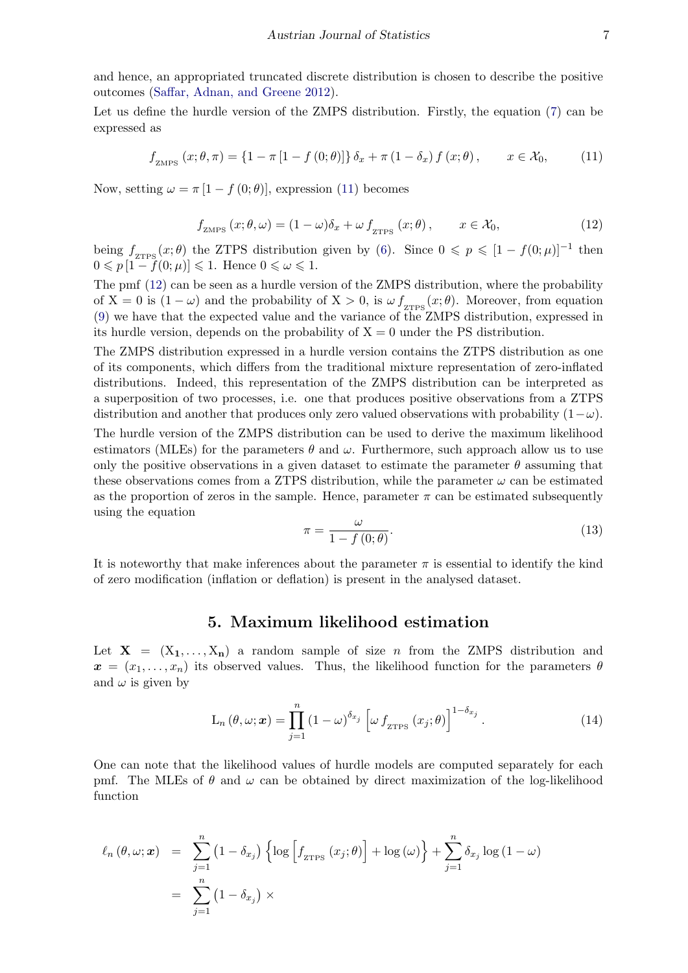and hence, an appropriated truncated discrete distribution is chosen to describe the positive outcomes [\(Saffar, Adnan, and Greene](#page-17-14) [2012\)](#page-17-14).

Let us define the hurdle version of the ZMPS distribution. Firstly, the equation [\(7\)](#page-3-1) can be expressed as

<span id="page-6-1"></span>
$$
f_{\text{ZMPS}}\left(x;\theta,\pi\right) = \left\{1 - \pi\left[1 - f\left(0;\theta\right)\right]\right\}\delta_x + \pi\left(1 - \delta_x\right)f\left(x;\theta\right), \qquad x \in \mathcal{X}_0,\tag{11}
$$

<span id="page-6-2"></span>Now, setting  $\omega = \pi [1 - f(0; \theta)]$ , expression [\(11\)](#page-6-1) becomes

$$
f_{\text{ZMPS}}\left(x;\theta,\omega\right) = (1-\omega)\delta_x + \omega f_{\text{ZTPS}}\left(x;\theta\right), \qquad x \in \mathcal{X}_0,\tag{12}
$$

being  $f_{\text{ZTPS}}(x;\theta)$  the ZTPS distribution given by [\(6\)](#page-3-2). Since  $0 \leqslant p \leqslant [1-f(0;\mu)]^{-1}$  then  $0 \leqslant p\left[1 - f(0;\mu)\right] \leqslant 1.$  Hence  $0 \leqslant \omega \leqslant 1.$ 

The pmf [\(12\)](#page-6-2) can be seen as a hurdle version of the ZMPS distribution, where the probability of  $X = 0$  is  $(1 - \omega)$  and the probability of  $X > 0$ , is  $\omega f_{ZIPS}(x; \theta)$ . Moreover, from equation [\(9\)](#page-3-3) we have that the expected value and the variance of the ZMPS distribution, expressed in its hurdle version, depends on the probability of  $X = 0$  under the PS distribution.

The ZMPS distribution expressed in a hurdle version contains the ZTPS distribution as one of its components, which differs from the traditional mixture representation of zero-inflated distributions. Indeed, this representation of the ZMPS distribution can be interpreted as a superposition of two processes, i.e. one that produces positive observations from a ZTPS distribution and another that produces only zero valued observations with probability  $(1-\omega)$ .

The hurdle version of the ZMPS distribution can be used to derive the maximum likelihood estimators (MLEs) for the parameters  $\theta$  and  $\omega$ . Furthermore, such approach allow us to use only the positive observations in a given dataset to estimate the parameter  $\theta$  assuming that these observations comes from a ZTPS distribution, while the parameter  $\omega$  can be estimated as the proportion of zeros in the sample. Hence, parameter  $\pi$  can be estimated subsequently using the equation

$$
\pi = \frac{\omega}{1 - f(0; \theta)}.\tag{13}
$$

It is noteworthy that make inferences about the parameter  $\pi$  is essential to identify the kind of zero modification (inflation or deflation) is present in the analysed dataset.

#### 5. Maximum likelihood estimation

<span id="page-6-0"></span>Let  $X = (X_1, \ldots, X_n)$  a random sample of size n from the ZMPS distribution and  $x = (x_1, \ldots, x_n)$  its observed values. Thus, the likelihood function for the parameters  $\theta$ and  $\omega$  is given by

$$
L_n(\theta, \omega; \mathbf{x}) = \prod_{j=1}^n (1 - \omega)^{\delta_{x_j}} \left[ \omega f_{\text{ZTPS}} \left( x_j; \theta \right) \right]^{1 - \delta_{x_j}}.
$$
 (14)

One can note that the likelihood values of hurdle models are computed separately for each pmf. The MLEs of  $\theta$  and  $\omega$  can be obtained by direct maximization of the log-likelihood function

<span id="page-6-3"></span>
$$
\ell_n(\theta,\omega;\boldsymbol{x}) = \sum_{j=1}^n (1-\delta_{x_j}) \left\{ \log \left[ f_{\text{ZTPS}}(x_j;\theta) \right] + \log (\omega) \right\} + \sum_{j=1}^n \delta_{x_j} \log (1-\omega)
$$

$$
= \sum_{j=1}^n (1-\delta_{x_j}) \times
$$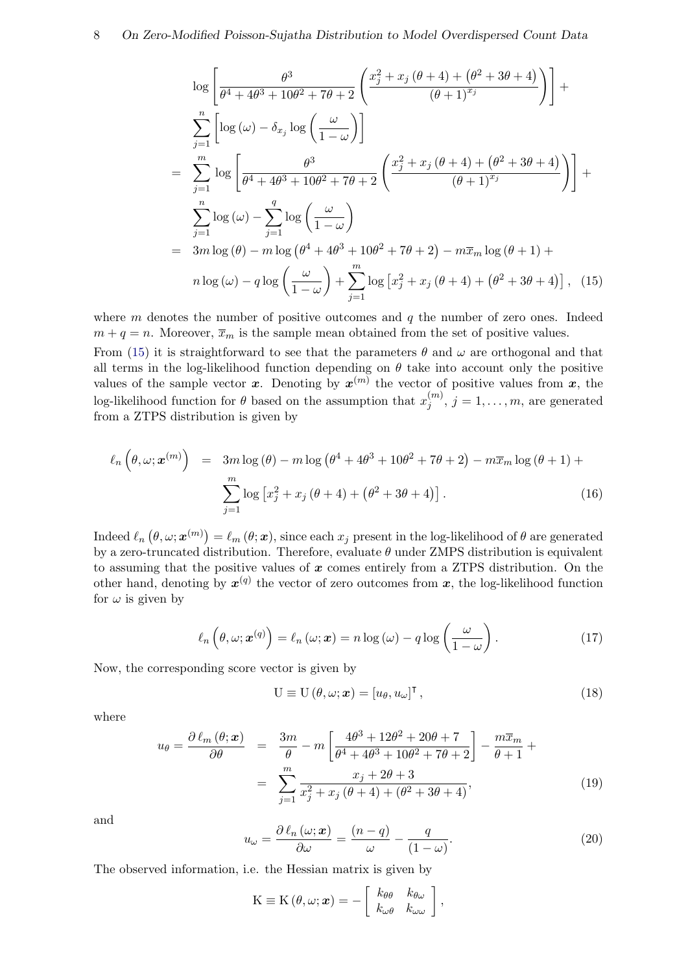$$
\log \left[ \frac{\theta^3}{\theta^4 + 4\theta^3 + 10\theta^2 + 7\theta + 2} \left( \frac{x_j^2 + x_j(\theta + 4) + (\theta^2 + 3\theta + 4)}{(\theta + 1)^{x_j}} \right) \right] +
$$
  
\n
$$
\sum_{j=1}^n \left[ \log (\omega) - \delta_{x_j} \log \left( \frac{\omega}{1 - \omega} \right) \right]
$$
  
\n
$$
= \sum_{j=1}^m \log \left[ \frac{\theta^3}{\theta^4 + 4\theta^3 + 10\theta^2 + 7\theta + 2} \left( \frac{x_j^2 + x_j(\theta + 4) + (\theta^2 + 3\theta + 4)}{(\theta + 1)^{x_j}} \right) \right] +
$$
  
\n
$$
\sum_{j=1}^n \log (\omega) - \sum_{j=1}^q \log \left( \frac{\omega}{1 - \omega} \right)
$$
  
\n
$$
= 3m \log (\theta) - m \log (\theta^4 + 4\theta^3 + 10\theta^2 + 7\theta + 2) - m\overline{x}_m \log (\theta + 1) +
$$
  
\n
$$
n \log (\omega) - q \log \left( \frac{\omega}{1 - \omega} \right) + \sum_{j=1}^m \log \left[ x_j^2 + x_j(\theta + 4) + (\theta^2 + 3\theta + 4) \right], \quad (15)
$$

where  $m$  denotes the number of positive outcomes and  $q$  the number of zero ones. Indeed  $m + q = n$ . Moreover,  $\overline{x}_m$  is the sample mean obtained from the set of positive values.

From [\(15\)](#page-6-3) it is straightforward to see that the parameters  $\theta$  and  $\omega$  are orthogonal and that all terms in the log-likelihood function depending on  $\theta$  take into account only the positive values of the sample vector x. Denoting by  $x^{(m)}$  the vector of positive values from x, the log-likelihood function for  $\theta$  based on the assumption that  $x_i^{(m)}$  $j^{(m)}$ ,  $j = 1, \ldots, m$ , are generated from a ZTPS distribution is given by

$$
\ell_n\left(\theta,\omega;\mathbf{x}^{(m)}\right) = 3m\log\left(\theta\right) - m\log\left(\theta^4 + 4\theta^3 + 10\theta^2 + 7\theta + 2\right) - m\overline{x}_m\log\left(\theta + 1\right) + \sum_{j=1}^m \log\left[x_j^2 + x_j\left(\theta + 4\right) + \left(\theta^2 + 3\theta + 4\right)\right].\tag{16}
$$

Indeed  $\ell_n (\theta, \omega; \boldsymbol{x}^{(m)}) = \ell_m (\theta; \boldsymbol{x})$ , since each  $x_j$  present in the log-likelihood of  $\theta$  are generated by a zero-truncated distribution. Therefore, evaluate  $\theta$  under ZMPS distribution is equivalent to assuming that the positive values of  $x$  comes entirely from a ZTPS distribution. On the other hand, denoting by  $x^{(q)}$  the vector of zero outcomes from x, the log-likelihood function for  $\omega$  is given by

$$
\ell_n\left(\theta,\omega;\boldsymbol{x}^{(q)}\right) = \ell_n\left(\omega;\boldsymbol{x}\right) = n\log\left(\omega\right) - q\log\left(\frac{\omega}{1-\omega}\right). \tag{17}
$$

<span id="page-7-2"></span>Now, the corresponding score vector is given by

$$
U \equiv U(\theta, \omega; \mathbf{x}) = [u_{\theta}, u_{\omega}]^{\mathsf{T}}, \qquad (18)
$$

where

<span id="page-7-1"></span>
$$
u_{\theta} = \frac{\partial \ell_m(\theta; \mathbf{x})}{\partial \theta} = \frac{3m}{\theta} - m \left[ \frac{4\theta^3 + 12\theta^2 + 20\theta + 7}{\theta^4 + 4\theta^3 + 10\theta^2 + 7\theta + 2} \right] - \frac{m\overline{x}_m}{\theta + 1} +
$$
  

$$
= \sum_{j=1}^m \frac{x_j + 2\theta + 3}{x_j^2 + x_j(\theta + 4) + (\theta^2 + 3\theta + 4)},
$$
(19)

<span id="page-7-0"></span>and

$$
u_{\omega} = \frac{\partial \ell_n(\omega; \mathbf{x})}{\partial \omega} = \frac{(n-q)}{\omega} - \frac{q}{(1-\omega)}.
$$
 (20)

The observed information, i.e. the Hessian matrix is given by

$$
K \equiv K(\theta, \omega; \boldsymbol{x}) = -\left[\begin{array}{cc} k_{\theta\theta} & k_{\theta\omega} \\ k_{\omega\theta} & k_{\omega\omega} \end{array}\right],
$$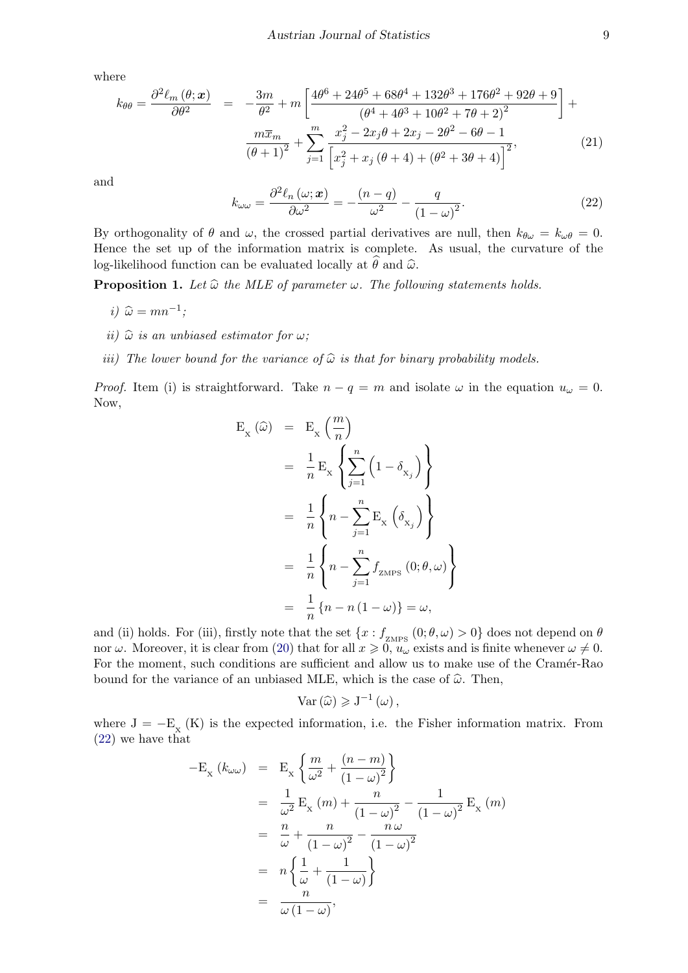where

$$
k_{\theta\theta} = \frac{\partial^2 \ell_m(\theta; \mathbf{x})}{\partial \theta^2} = -\frac{3m}{\theta^2} + m \left[ \frac{4\theta^6 + 24\theta^5 + 68\theta^4 + 132\theta^3 + 176\theta^2 + 92\theta + 9}{(\theta^4 + 4\theta^3 + 10\theta^2 + 7\theta + 2)^2} \right] + \frac{m\overline{x}_m}{(\theta + 1)^2} + \sum_{j=1}^m \frac{x_j^2 - 2x_j\theta + 2x_j - 2\theta^2 - 6\theta - 1}{\left[x_j^2 + x_j(\theta + 4) + (\theta^2 + 3\theta + 4)\right]^2},
$$
(21)

<span id="page-8-0"></span>and

$$
k_{\omega\omega} = \frac{\partial^2 \ell_n(\omega; \mathbf{x})}{\partial \omega^2} = -\frac{(n-q)}{\omega^2} - \frac{q}{(1-\omega)^2}.
$$
 (22)

By orthogonality of  $\theta$  and  $\omega$ , the crossed partial derivatives are null, then  $k_{\theta\omega} = k_{\omega\theta} = 0$ . Hence the set up of the information matrix is complete. As usual, the curvature of the log-likelihood function can be evaluated locally at  $\hat{\theta}$  and  $\hat{\omega}$ .

**Proposition 1.** Let  $\widehat{\omega}$  the MLE of parameter  $\omega$ . The following statements holds.

- i)  $\widehat{\omega} = mn^{-1};$
- ii)  $\widehat{\omega}$  is an unbiased estimator for  $\omega$ ;
- iii) The lower bound for the variance of  $\hat{\omega}$  is that for binary probability models.

*Proof.* Item (i) is straightforward. Take  $n - q = m$  and isolate  $\omega$  in the equation  $u_{\omega} = 0$ . Now,

$$
E_{x} (\hat{\omega}) = E_{x} \left( \frac{m}{n} \right)
$$
  
=  $\frac{1}{n} E_{x} \left\{ \sum_{j=1}^{n} (1 - \delta_{x_{j}}) \right\}$   
=  $\frac{1}{n} \left\{ n - \sum_{j=1}^{n} E_{x} (\delta_{x_{j}}) \right\}$   
=  $\frac{1}{n} \left\{ n - \sum_{j=1}^{n} f_{z_{\text{MPS}}} (0; \theta, \omega) \right\}$   
=  $\frac{1}{n} \left\{ n - n (1 - \omega) \right\} = \omega,$ 

and (ii) holds. For (iii), firstly note that the set  $\{x: f_{\text{ZMPS}}(0;\theta,\omega) > 0\}$  does not depend on  $\theta$ nor  $\omega$ . Moreover, it is clear from [\(20\)](#page-7-0) that for all  $x \ge 0$ ,  $u_{\omega}$  exists and is finite whenever  $\omega \ne 0$ . For the moment, such conditions are sufficient and allow us to make use of the Cramér-Rao bound for the variance of an unbiased MLE, which is the case of  $\hat{\omega}$ . Then,

$$
\text{Var}\left(\widehat{\omega}\right) \geqslant J^{-1}\left(\omega\right),\,
$$

where  $J = -E_X(K)$  is the expected information, i.e. the Fisher information matrix. From [\(22\)](#page-8-0) we have that

$$
-E_{x} (k_{\omega\omega}) = E_{x} \left\{ \frac{m}{\omega^{2}} + \frac{(n-m)}{(1-\omega)^{2}} \right\}
$$
  
\n
$$
= \frac{1}{\omega^{2}} E_{x} (m) + \frac{n}{(1-\omega)^{2}} - \frac{1}{(1-\omega)^{2}} E_{x} (m)
$$
  
\n
$$
= \frac{n}{\omega} + \frac{n}{(1-\omega)^{2}} - \frac{n\omega}{(1-\omega)^{2}}
$$
  
\n
$$
= n \left\{ \frac{1}{\omega} + \frac{1}{(1-\omega)} \right\}
$$
  
\n
$$
= \frac{n}{\omega (1-\omega)},
$$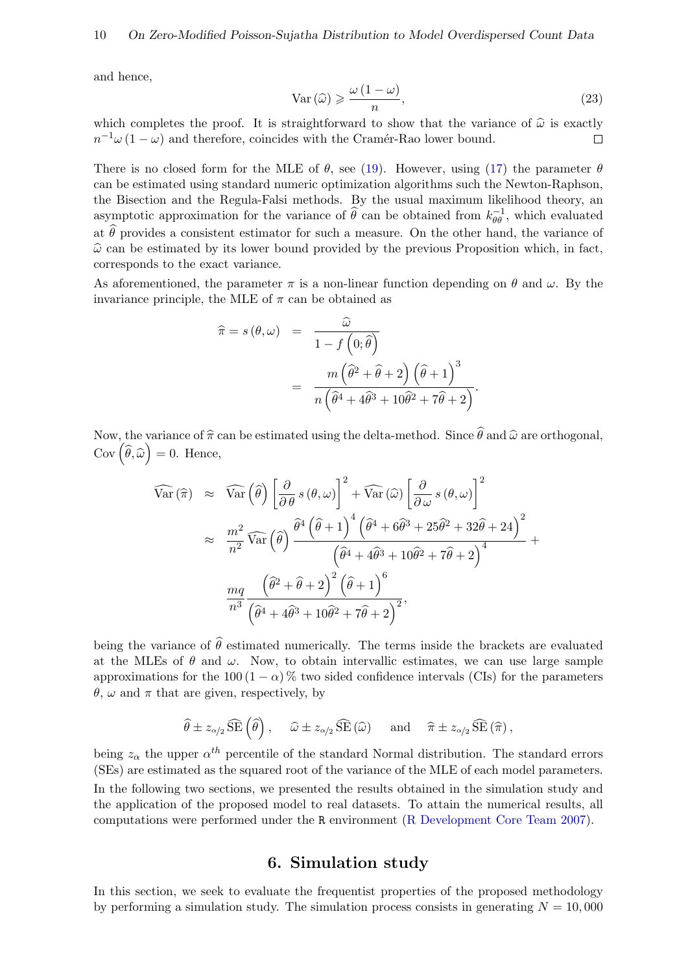and hence,

$$
\text{Var}\left(\widehat{\omega}\right) \geqslant \frac{\omega\left(1-\omega\right)}{n},\tag{23}
$$

which completes the proof. It is straightforward to show that the variance of  $\hat{\omega}$  is exactly  $n^{-1}\omega(1-\omega)$  and therefore, coincides with the Cramér-Rao lower bound.  $n^{-1}\omega(1-\omega)$  and therefore, coincides with the Cramér-Rao lower bound.

There is no closed form for the MLE of  $\theta$ , see [\(19\)](#page-7-1). However, using [\(17\)](#page-7-2) the parameter  $\theta$ can be estimated using standard numeric optimization algorithms such the Newton-Raphson, the Bisection and the Regula-Falsi methods. By the usual maximum likelihood theory, an asymptotic approximation for the variance of  $\hat{\theta}$  can be obtained from  $k_{\theta\theta}^{-1}$ , which evaluated at  $\hat{\theta}$  provides a consistent estimator for such a measure. On the other hand, the variance of  $\hat{\omega}$  can be estimated by its lower bound provided by the previous Proposition which, in fact, corresponds to the exact variance.

As aforementioned, the parameter  $\pi$  is a non-linear function depending on  $\theta$  and  $\omega$ . By the invariance principle, the MLE of  $\pi$  can be obtained as

$$
\hat{\pi} = s(\theta, \omega) = \frac{\hat{\omega}}{1 - f(0; \hat{\theta})}
$$

$$
= \frac{m(\hat{\theta}^2 + \hat{\theta} + 2)(\hat{\theta} + 1)^3}{n(\hat{\theta}^4 + 4\hat{\theta}^3 + 10\hat{\theta}^2 + 7\hat{\theta} + 2)}.
$$

Now, the variance of  $\hat{\pi}$  can be estimated using the delta-method. Since  $\hat{\theta}$  and  $\hat{\omega}$  are orthogonal,  $\text{Cov}\left(\widehat{\theta},\widehat{\omega}\right)=0.$  Hence,

$$
\widehat{\text{Var}}(\widehat{\pi}) \approx \widehat{\text{Var}}(\widehat{\theta}) \left[ \frac{\partial}{\partial \theta} s(\theta, \omega) \right]^2 + \widehat{\text{Var}}(\widehat{\omega}) \left[ \frac{\partial}{\partial \omega} s(\theta, \omega) \right]^2
$$
\n
$$
\approx \frac{m^2}{n^2} \widehat{\text{Var}}(\widehat{\theta}) \frac{\widehat{\theta}^4 (\widehat{\theta} + 1)^4 (\widehat{\theta}^4 + 6\widehat{\theta}^3 + 25\widehat{\theta}^2 + 32\widehat{\theta} + 24)^2}{(\widehat{\theta}^4 + 4\widehat{\theta}^3 + 10\widehat{\theta}^2 + 7\widehat{\theta} + 2)^4} + \frac{mq}{n^3} \frac{(\widehat{\theta}^2 + \widehat{\theta} + 2)^2 (\widehat{\theta} + 1)^6}{(\widehat{\theta}^4 + 4\widehat{\theta}^3 + 10\widehat{\theta}^2 + 7\widehat{\theta} + 2)^2},
$$

being the variance of  $\hat{\theta}$  estimated numerically. The terms inside the brackets are evaluated at the MLEs of  $\theta$  and  $\omega$ . Now, to obtain intervallic estimates, we can use large sample approximations for the 100 (1 –  $\alpha$ ) % two sided confidence intervals (CIs) for the parameters  $\theta$ ,  $\omega$  and  $\pi$  that are given, respectively, by

$$
\widehat{\theta} \pm z_{\alpha/2} \widehat{\text{SE}}\left(\widehat{\theta}\right), \quad \widehat{\omega} \pm z_{\alpha/2} \widehat{\text{SE}}\left(\widehat{\omega}\right) \quad \text{and} \quad \widehat{\pi} \pm z_{\alpha/2} \widehat{\text{SE}}\left(\widehat{\pi}\right),
$$

being  $z_{\alpha}$  the upper  $\alpha^{th}$  percentile of the standard Normal distribution. The standard errors (SEs) are estimated as the squared root of the variance of the MLE of each model parameters. In the following two sections, we presented the results obtained in the simulation study and the application of the proposed model to real datasets. To attain the numerical results, all computations were performed under the R environment [\(R Development Core Team](#page-17-15) [2007\)](#page-17-15).

#### 6. Simulation study

<span id="page-9-0"></span>In this section, we seek to evaluate the frequentist properties of the proposed methodology by performing a simulation study. The simulation process consists in generating  $N = 10,000$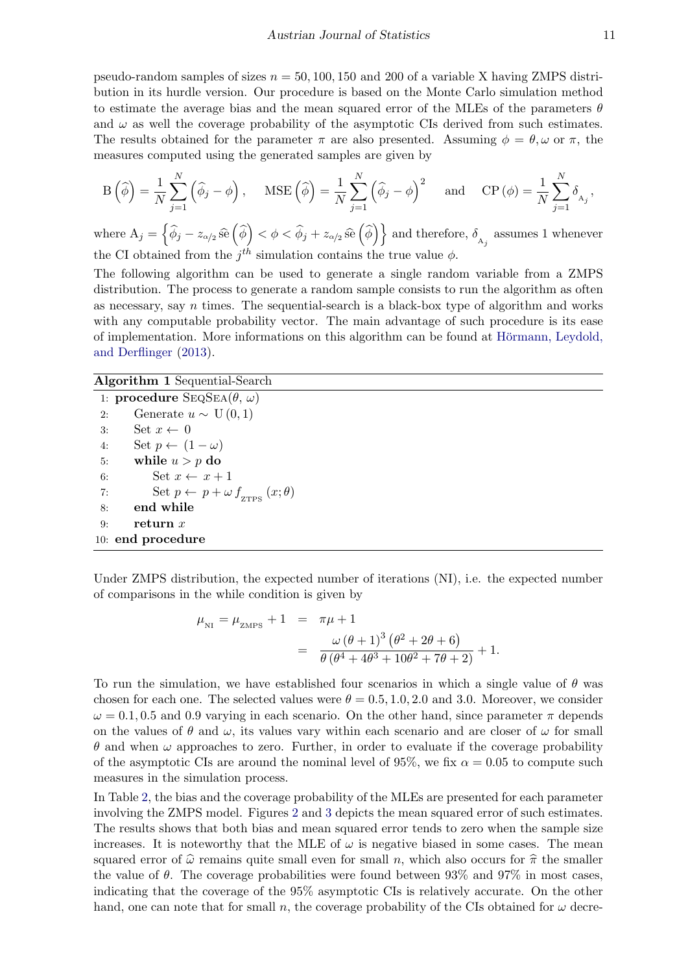Austrian Journal of Statistics 11

pseudo-random samples of sizes  $n = 50, 100, 150$  and 200 of a variable X having ZMPS distribution in its hurdle version. Our procedure is based on the Monte Carlo simulation method to estimate the average bias and the mean squared error of the MLEs of the parameters  $\theta$ and  $\omega$  as well the coverage probability of the asymptotic CIs derived from such estimates. The results obtained for the parameter  $\pi$  are also presented. Assuming  $\phi = \theta, \omega$  or  $\pi$ , the measures computed using the generated samples are given by

$$
\mathcal{B}\left(\widehat{\phi}\right) = \frac{1}{N} \sum_{j=1}^{N} \left(\widehat{\phi}_{j} - \phi\right), \quad \text{MSE}\left(\widehat{\phi}\right) = \frac{1}{N} \sum_{j=1}^{N} \left(\widehat{\phi}_{j} - \phi\right)^{2} \quad \text{and} \quad \text{CP}\left(\phi\right) = \frac{1}{N} \sum_{j=1}^{N} \delta_{A_{j}},
$$

where  $A_j = \left\{ \widehat{\phi}_j - z_{\alpha/2} \widehat{\text{se}} \left( \widehat{\phi} \right) < \phi < \widehat{\phi}_j + z_{\alpha/2} \widehat{\text{se}} \left( \widehat{\phi} \right) \right\}$  and therefore,  $\delta_{A_j}$  assumes 1 whenever the CI obtained from the  $j<sup>th</sup>$  simulation contains the true value  $\phi$ .

The following algorithm can be used to generate a single random variable from a ZMPS distribution. The process to generate a random sample consists to run the algorithm as often as necessary, say  $n$  times. The sequential-search is a black-box type of algorithm and works with any computable probability vector. The main advantage of such procedure is its ease of implementation. More informations on this algorithm can be found at Hörmann, Leydold, [and Derflinger](#page-16-10) [\(2013\)](#page-16-10).

#### Algorithm 1 Sequential-Search

1: procedure  $\text{SEQSEA}(\theta, \omega)$ 2: Generate  $u \sim U(0, 1)$ 3: Set  $x \leftarrow 0$ 4: Set  $p \leftarrow (1 - \omega)$ 5: while  $u > p$  do 6: Set  $x \leftarrow x + 1$ 7: Set  $p \leftarrow p + \omega f_{\text{zTPS}}(x; \theta)$ 8: end while 9: return  $x$ 10: end procedure

Under ZMPS distribution, the expected number of iterations (NI), i.e. the expected number of comparisons in the while condition is given by

$$
\mu_{\text{NI}} = \mu_{\text{ZMPS}} + 1 = \pi \mu + 1
$$
  
= 
$$
\frac{\omega (\theta + 1)^3 (\theta^2 + 2\theta + 6)}{\theta (\theta^4 + 4\theta^3 + 10\theta^2 + 7\theta + 2)} + 1.
$$

To run the simulation, we have established four scenarios in which a single value of  $\theta$  was chosen for each one. The selected values were  $\theta = 0.5, 1.0, 2.0$  and 3.0. Moreover, we consider  $\omega = 0.1, 0.5$  and 0.9 varying in each scenario. On the other hand, since parameter  $\pi$  depends on the values of  $\theta$  and  $\omega$ , its values vary within each scenario and are closer of  $\omega$  for small  $\theta$  and when  $\omega$  approaches to zero. Further, in order to evaluate if the coverage probability of the asymptotic CIs are around the nominal level of 95%, we fix  $\alpha = 0.05$  to compute such measures in the simulation process.

In Table [2,](#page-11-0) the bias and the coverage probability of the MLEs are presented for each parameter involving the ZMPS model. Figures [2](#page-12-1) and [3](#page-13-0) depicts the mean squared error of such estimates. The results shows that both bias and mean squared error tends to zero when the sample size increases. It is noteworthy that the MLE of  $\omega$  is negative biased in some cases. The mean squared error of  $\hat{\omega}$  remains quite small even for small n, which also occurs for  $\hat{\pi}$  the smaller the value of  $\theta$ . The coverage probabilities were found between 93% and 97% in most cases, indicating that the coverage of the 95% asymptotic CIs is relatively accurate. On the other hand, one can note that for small n, the coverage probability of the CIs obtained for  $\omega$  decre-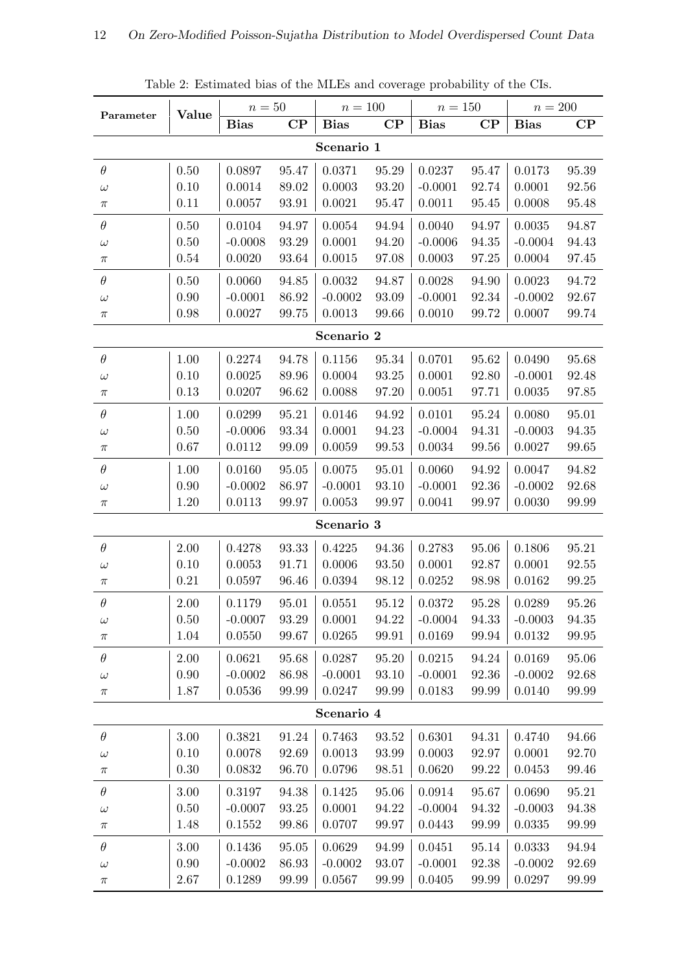<span id="page-11-0"></span>

| Parameter  | Value    | $n=50$      |                      | $n = 100$   |                      | $n=150$     |                      | $n=200$      |          |
|------------|----------|-------------|----------------------|-------------|----------------------|-------------|----------------------|--------------|----------|
|            |          | <b>Bias</b> | $\rm CP$             | <b>Bias</b> | $\mathbf{CP}$        | <b>Bias</b> | $\rm CP$             | <b>Bias</b>  | $\bf CP$ |
| Scenario 1 |          |             |                      |             |                      |             |                      |              |          |
| $\theta$   | 0.50     | 0.0897      | 95.47                | 0.0371      | 95.29                | 0.0237      | 95.47                | 0.0173       | 95.39    |
| $\omega$   | 0.10     | 0.0014      | 89.02                | 0.0003      | $93.20\,$            | $-0.0001$   | 92.74                | 0.0001       | 92.56    |
| $\pi$      | 0.11     | 0.0057      | 93.91                | 0.0021      | 95.47                | 0.0011      | 95.45                | 0.0008       | 95.48    |
| $\theta$   | 0.50     | 0.0104      | 94.97                | 0.0054      | 94.94                | 0.0040      | 94.97                | 0.0035       | 94.87    |
| $\omega$   | 0.50     | $-0.0008$   | 93.29                | 0.0001      | 94.20                | $-0.0006$   | 94.35                | $-0.0004$    | 94.43    |
| $\pi$      | 0.54     | 0.0020      | 93.64                | 0.0015      | $97.08\,$            | 0.0003      | 97.25                | 0.0004       | 97.45    |
| $\theta$   | 0.50     | 0.0060      | 94.85                | 0.0032      | 94.87                | 0.0028      | 94.90                | 0.0023       | 94.72    |
| $\omega$   | 0.90     | $-0.0001$   | 86.92                | $-0.0002$   | 93.09                | $-0.0001$   | 92.34                | $-0.0002$    | 92.67    |
| $\pi$      | 0.98     | 0.0027      | 99.75                | 0.0013      | 99.66                | 0.0010      | 99.72                | 0.0007       | 99.74    |
|            |          |             |                      | Scenario 2  |                      |             |                      |              |          |
| $\theta$   | 1.00     | 0.2274      | 94.78                | 0.1156      | 95.34                | 0.0701      | 95.62                | 0.0490       | 95.68    |
| $\omega$   | 0.10     | 0.0025      | 89.96                | 0.0004      | $\bf{93.25}$         | 0.0001      | 92.80                | $-0.0001$    | 92.48    |
| $\pi$      | 0.13     | 0.0207      | 96.62                | 0.0088      | 97.20                | 0.0051      | 97.71                | 0.0035       | 97.85    |
| $\theta$   | 1.00     | 0.0299      | 95.21                | 0.0146      | 94.92                | 0.0101      | 95.24                | 0.0080       | 95.01    |
| $\omega$   | 0.50     | $-0.0006$   | 93.34                | 0.0001      | 94.23                | $-0.0004$   | 94.31                | $-0.0003$    | 94.35    |
| $\pi$      | $0.67\,$ | 0.0112      | $99.09\,$            | 0.0059      | 99.53                | 0.0034      | 99.56                | 0.0027       | 99.65    |
| $\theta$   | 1.00     | 0.0160      | 95.05                | 0.0075      | 95.01                | 0.0060      | 94.92                | 0.0047       | 94.82    |
| $\omega$   | 0.90     | $-0.0002$   | 86.97                | $-0.0001$   | 93.10                | $-0.0001$   | 92.36                | $-0.0002$    | 92.68    |
| $\pi$      | 1.20     | 0.0113      | 99.97                | 0.0053      | 99.97                | 0.0041      | 99.97                | 0.0030       | 99.99    |
|            |          |             |                      | Scenario 3  |                      |             |                      |              |          |
| $\theta$   | 2.00     | 0.4278      | $\boldsymbol{93.33}$ | 0.4225      | 94.36                | 0.2783      | 95.06                | 0.1806       | 95.21    |
| $\omega$   | 0.10     | 0.0053      | 91.71                | 0.0006      | 93.50                | 0.0001      | 92.87                | 0.0001       | 92.55    |
| $\pi$      | 0.21     | 0.0597      | 96.46                | 0.0394      | 98.12                | 0.0252      | 98.98                | 0.0162       | 99.25    |
| $\theta$   | 2.00     | 0.1179      | 95.01                | 0.0551      | 95.12                | 0.0372      | $\boldsymbol{95.28}$ | 0.0289       | 95.26    |
| $\omega$   | 0.50     | $-0.0007$   | 93.29                | 0.0001      | 94.22                | $-0.0004$   | 94.33                | $-0.0003$    | 94.35    |
| $\pi$      | 1.04     | 0.0550      | 99.67                | 0.0265      | 99.91                | 0.0169      | 99.94                | $\,0.0132\,$ | 99.95    |
| $\theta$   | 2.00     | 0.0621      | 95.68                | 0.0287      | 95.20                | 0.0215      | 94.24                | 0.0169       | 95.06    |
| $\omega$   | 0.90     | $-0.0002$   | 86.98                | $-0.0001$   | 93.10                | $-0.0001$   | 92.36                | $-0.0002$    | 92.68    |
| $\pi$      | 1.87     | 0.0536      | 99.99                | 0.0247      | 99.99                | 0.0183      | $99.99\,$            | 0.0140       | 99.99    |
|            |          |             |                      | Scenario 4  |                      |             |                      |              |          |
| $\theta$   | 3.00     | 0.3821      | 91.24                | 0.7463      | $\boldsymbol{93.52}$ | 0.6301      | 94.31                | 0.4740       | 94.66    |
| $\omega$   | 0.10     | 0.0078      | 92.69                | 0.0013      | 93.99                | 0.0003      | 92.97                | 0.0001       | 92.70    |
| $\pi$      | 0.30     | 0.0832      | 96.70                | 0.0796      | 98.51                | 0.0620      | $99.22\,$            | 0.0453       | 99.46    |
| $\theta$   | 3.00     | 0.3197      | 94.38                | 0.1425      | 95.06                | 0.0914      | 95.67                | 0.0690       | 95.21    |
| $\omega$   | 0.50     | $-0.0007$   | 93.25                | 0.0001      | 94.22                | $-0.0004$   | 94.32                | $-0.0003$    | 94.38    |
| $\pi$      | 1.48     | 0.1552      | 99.86                | 0.0707      | 99.97                | 0.0443      | 99.99                | 0.0335       | 99.99    |
| $\theta$   | 3.00     | 0.1436      | $95.05\,$            | 0.0629      | 94.99                | 0.0451      | 95.14                | 0.0333       | 94.94    |
| $\omega$   | 0.90     | $-0.0002$   | 86.93                | $-0.0002$   | 93.07                | $-0.0001$   | 92.38                | $-0.0002$    | 92.69    |
| $\pi$      | $2.67\,$ | 0.1289      | 99.99                | 0.0567      | 99.99                | 0.0405      | 99.99                | 0.0297       | 99.99    |

Table 2: Estimated bias of the MLEs and coverage probability of the CIs.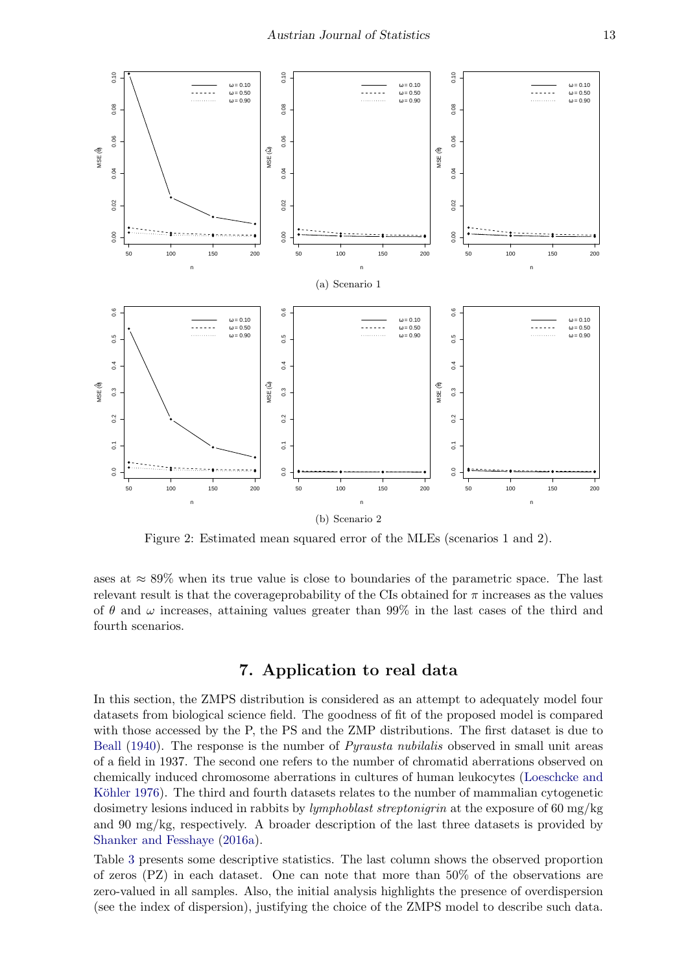

Figure 2: Estimated mean squared error of the MLEs (scenarios 1 and 2).

ases at  $\approx 89\%$  when its true value is close to boundaries of the parametric space. The last relevant result is that the coverageprobability of the CIs obtained for  $\pi$  increases as the values of  $\theta$  and  $\omega$  increases, attaining values greater than 99% in the last cases of the third and fourth scenarios.

### <span id="page-12-1"></span>7. Application to real data

<span id="page-12-0"></span>In this section, the ZMPS distribution is considered as an attempt to adequately model four datasets from biological science field. The goodness of fit of the proposed model is compared with those accessed by the P, the PS and the ZMP distributions. The first dataset is due to [Beall](#page-16-11) [\(1940\)](#page-16-11). The response is the number of *Pyrausta nubilalis* observed in small unit areas of a field in 1937. The second one refers to the number of chromatid aberrations observed on chemically induced chromosome aberrations in cultures of human leukocytes [\(Loeschcke and](#page-17-16) Köhler [1976\)](#page-17-16). The third and fourth datasets relates to the number of mammalian cytogenetic dosimetry lesions induced in rabbits by *lymphoblast streptonigrin* at the exposure of 60 mg/kg and 90 mg/kg, respectively. A broader description of the last three datasets is provided by [Shanker and Fesshaye](#page-17-10) [\(2016a\)](#page-17-10).

Table [3](#page-13-1) presents some descriptive statistics. The last column shows the observed proportion of zeros (PZ) in each dataset. One can note that more than 50% of the observations are zero-valued in all samples. Also, the initial analysis highlights the presence of overdispersion (see the index of dispersion), justifying the choice of the ZMPS model to describe such data.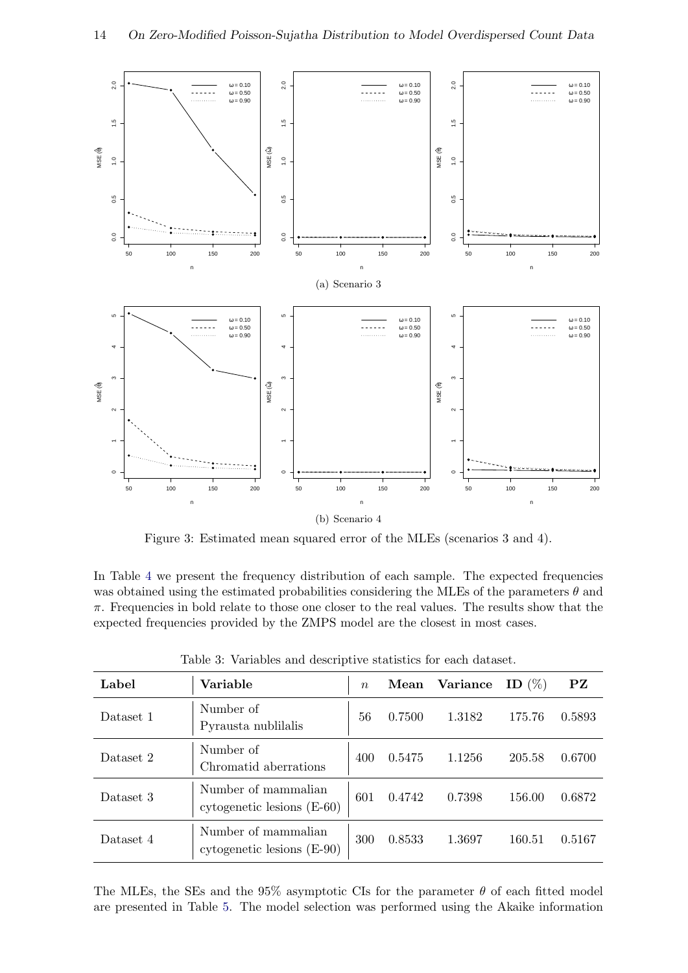

<span id="page-13-0"></span>Figure 3: Estimated mean squared error of the MLEs (scenarios 3 and 4).

In Table [4](#page-14-0) we present the frequency distribution of each sample. The expected frequencies was obtained using the estimated probabilities considering the MLEs of the parameters  $\theta$  and  $\pi$ . Frequencies in bold relate to those one closer to the real values. The results show that the expected frequencies provided by the ZMPS model are the closest in most cases.

<span id="page-13-1"></span>

| Label     | Variable                                            | $\boldsymbol{n}$ | Mean   | Variance | ID $(\%)$ | PZ     |
|-----------|-----------------------------------------------------|------------------|--------|----------|-----------|--------|
| Dataset 1 | Number of<br>Pyrausta nublilalis                    | 56               | 0.7500 | 1.3182   | 175.76    | 0.5893 |
| Dataset 2 | Number of<br>Chromatid aberrations                  | 400              | 0.5475 | 1.1256   | 205.58    | 0.6700 |
| Dataset 3 | Number of mammalian<br>cytogenetic lesions $(E-60)$ | 601              | 0.4742 | 0.7398   | 156.00    | 0.6872 |
| Dataset 4 | Number of mammalian<br>cytogenetic lesions $(E-90)$ | 300              | 0.8533 | 1.3697   | 160.51    | 0.5167 |

Table 3: Variables and descriptive statistics for each dataset.

The MLEs, the SEs and the 95% asymptotic CIs for the parameter  $\theta$  of each fitted model are presented in Table [5.](#page-15-1) The model selection was performed using the Akaike information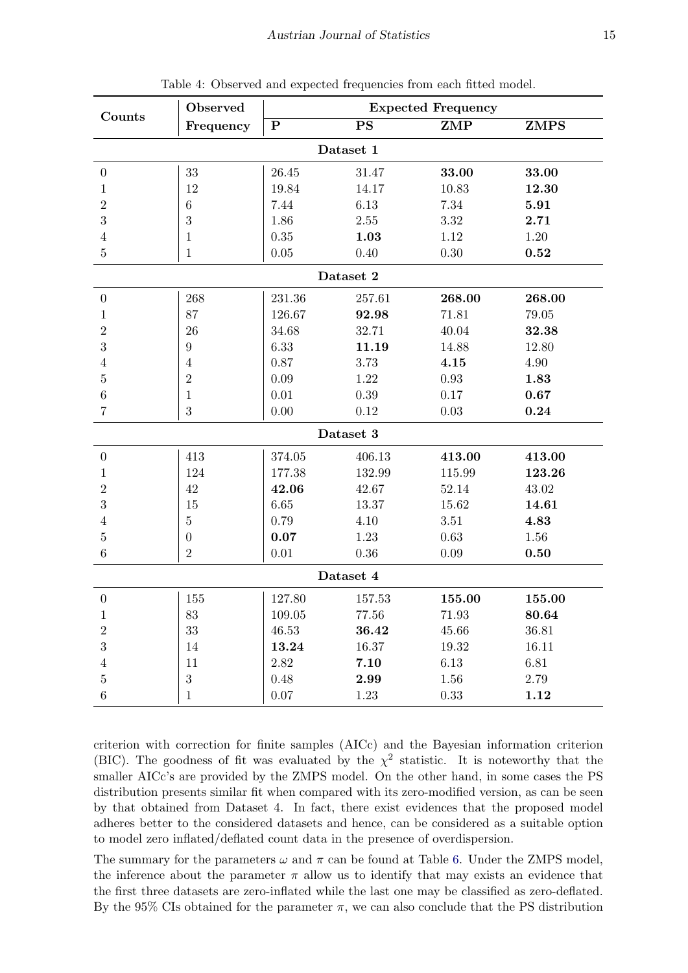<span id="page-14-0"></span>

|                  | Observed         | <b>Expected Frequency</b> |               |            |             |  |  |  |  |  |
|------------------|------------------|---------------------------|---------------|------------|-------------|--|--|--|--|--|
| Counts           | Frequency        | ${\bf P}$                 | $\mathbf{PS}$ | ZMP        | <b>ZMPS</b> |  |  |  |  |  |
| Dataset 1        |                  |                           |               |            |             |  |  |  |  |  |
| $\theta$         | 33               | 26.45                     | 31.47         | 33.00      | 33.00       |  |  |  |  |  |
| $\mathbf{1}$     | 12               | 19.84                     | 14.17         | 10.83      | 12.30       |  |  |  |  |  |
| $\sqrt{2}$       | $\,6$            | 7.44                      | 6.13          | 7.34       | 5.91        |  |  |  |  |  |
| 3                | $\sqrt{3}$       | 1.86                      | 2.55          | 3.32       | 2.71        |  |  |  |  |  |
| $\overline{4}$   | $\mathbf{1}$     | 0.35                      | 1.03          | 1.12       | 1.20        |  |  |  |  |  |
| $\overline{5}$   | $\mathbf{1}$     | 0.05                      | 0.40          | $0.30\,$   | 0.52        |  |  |  |  |  |
| Dataset 2        |                  |                           |               |            |             |  |  |  |  |  |
| $\boldsymbol{0}$ | 268              | 231.36                    | 257.61        | 268.00     | 268.00      |  |  |  |  |  |
| $\mathbf{1}$     | 87               | 126.67                    | 92.98         | 71.81      | 79.05       |  |  |  |  |  |
| $\overline{2}$   | 26               | 34.68                     | 32.71         | 40.04      | 32.38       |  |  |  |  |  |
| 3                | $\boldsymbol{9}$ | 6.33                      | 11.19         | 14.88      | 12.80       |  |  |  |  |  |
| $\overline{4}$   | $\overline{4}$   | 0.87                      | 3.73          | 4.15       | 4.90        |  |  |  |  |  |
| $\overline{5}$   | $\sqrt{2}$       | 0.09                      | 1.22          | 0.93       | 1.83        |  |  |  |  |  |
| $\,6$            | $\mathbf{1}$     | 0.01                      | 0.39          | 0.17       | 0.67        |  |  |  |  |  |
| $\overline{7}$   | $\boldsymbol{3}$ | 0.00                      | 0.12          | $0.03\,$   | 0.24        |  |  |  |  |  |
|                  |                  |                           | Dataset 3     |            |             |  |  |  |  |  |
| $\theta$         | 413              | 374.05                    | 406.13        | 413.00     | 413.00      |  |  |  |  |  |
| $\mathbf{1}$     | 124              | 177.38                    | 132.99        | $115.99\,$ | 123.26      |  |  |  |  |  |
| $\sqrt{2}$       | 42               | 42.06                     | 42.67         | 52.14      | 43.02       |  |  |  |  |  |
| 3                | 15               | 6.65                      | 13.37         | 15.62      | 14.61       |  |  |  |  |  |
| $\overline{4}$   | $\bf 5$          | 0.79                      | 4.10          | 3.51       | 4.83        |  |  |  |  |  |
| $\bf 5$          | $\boldsymbol{0}$ | 0.07                      | 1.23          | 0.63       | 1.56        |  |  |  |  |  |
| $\,6$            | $\overline{2}$   | 0.01                      | 0.36          | 0.09       | 0.50        |  |  |  |  |  |
| Dataset 4        |                  |                           |               |            |             |  |  |  |  |  |
| $\boldsymbol{0}$ | 155              | 127.80                    | 157.53        | 155.00     | 155.00      |  |  |  |  |  |
| 1                | 83               | 109.05                    | 77.56         | 71.93      | 80.64       |  |  |  |  |  |
| $\sqrt{2}$       | 33               | 46.53                     | 36.42         | $45.66\,$  | 36.81       |  |  |  |  |  |
| 3                | 14               | 13.24                     | 16.37         | 19.32      | 16.11       |  |  |  |  |  |
| $\overline{4}$   | 11               | 2.82                      | 7.10          | 6.13       | 6.81        |  |  |  |  |  |
| $\bf 5$          | $\sqrt{3}$       | 0.48                      | 2.99          | 1.56       | 2.79        |  |  |  |  |  |
| $\,6\,$          | $\mathbf{1}$     | 0.07                      | 1.23          | 0.33       | 1.12        |  |  |  |  |  |

Table 4: Observed and expected frequencies from each fitted model.

criterion with correction for finite samples (AICc) and the Bayesian information criterion (BIC). The goodness of fit was evaluated by the  $\chi^2$  statistic. It is noteworthy that the smaller AICc's are provided by the ZMPS model. On the other hand, in some cases the PS distribution presents similar fit when compared with its zero-modified version, as can be seen by that obtained from Dataset 4. In fact, there exist evidences that the proposed model adheres better to the considered datasets and hence, can be considered as a suitable option to model zero inflated/deflated count data in the presence of overdispersion.

The summary for the parameters  $\omega$  and  $\pi$  can be found at Table [6.](#page-15-2) Under the ZMPS model, the inference about the parameter  $\pi$  allow us to identify that may exists an evidence that the first three datasets are zero-inflated while the last one may be classified as zero-deflated. By the 95% CIs obtained for the parameter  $\pi$ , we can also conclude that the PS distribution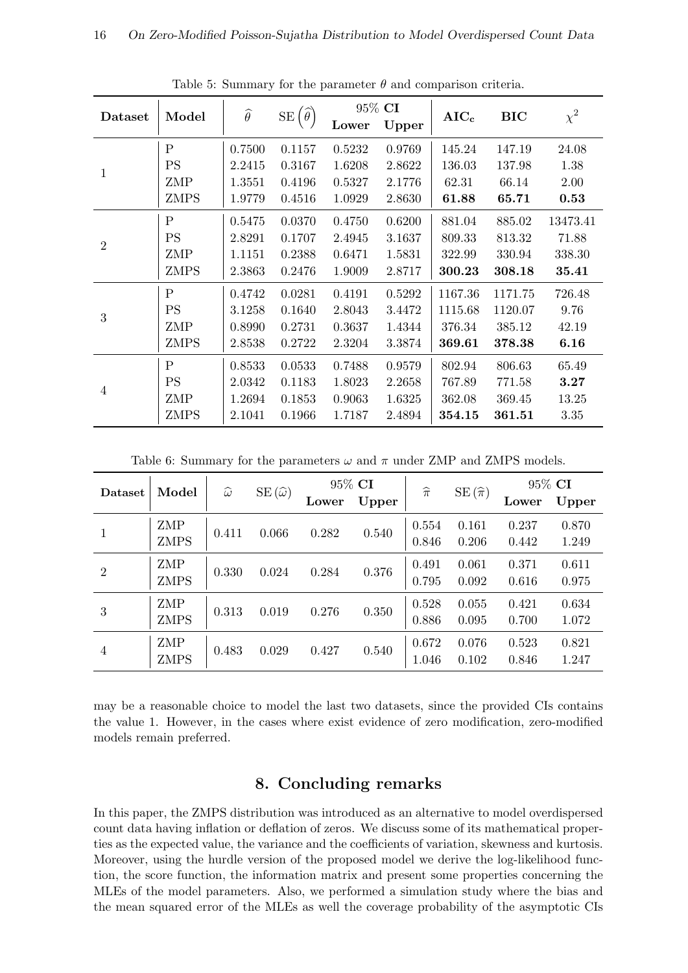<span id="page-15-1"></span>

| Dataset        | Model          | $\widehat{\theta}$ | $SE(\widehat{\theta})$ | Lower  | 95% CI<br>Upper | $AIC_c$ | <b>BIC</b> | $\chi^2$ |
|----------------|----------------|--------------------|------------------------|--------|-----------------|---------|------------|----------|
|                | $\overline{P}$ | 0.7500             | 0.1157                 | 0.5232 | 0.9769          | 145.24  | 147.19     | 24.08    |
|                | <b>PS</b>      | 2.2415             | 0.3167                 | 1.6208 | 2.8622          | 136.03  | 137.98     | 1.38     |
| $\mathbf{1}$   | ZMP            | 1.3551             | 0.4196                 | 0.5327 | 2.1776          | 62.31   | 66.14      | 2.00     |
|                | <b>ZMPS</b>    | 1.9779             | 0.4516                 | 1.0929 | 2.8630          | 61.88   | 65.71      | 0.53     |
|                | $\mathbf{P}$   | 0.5475             | 0.0370                 | 0.4750 | 0.6200          | 881.04  | 885.02     | 13473.41 |
| $\overline{2}$ | <b>PS</b>      | 2.8291             | 0.1707                 | 2.4945 | 3.1637          | 809.33  | 813.32     | 71.88    |
|                | ZMP            | 1.1151             | 0.2388                 | 0.6471 | 1.5831          | 322.99  | 330.94     | 338.30   |
|                | <b>ZMPS</b>    | 2.3863             | 0.2476                 | 1.9009 | 2.8717          | 300.23  | 308.18     | 35.41    |
|                | $\overline{P}$ | 0.4742             | 0.0281                 | 0.4191 | 0.5292          | 1167.36 | 1171.75    | 726.48   |
| 3              | PS             | 3.1258             | 0.1640                 | 2.8043 | 3.4472          | 1115.68 | 1120.07    | 9.76     |
|                | ZMP            | 0.8990             | 0.2731                 | 0.3637 | 1.4344          | 376.34  | 385.12     | 42.19    |
|                | <b>ZMPS</b>    | 2.8538             | 0.2722                 | 2.3204 | 3.3874          | 369.61  | 378.38     | 6.16     |
| $\overline{4}$ | $\overline{P}$ | 0.8533             | 0.0533                 | 0.7488 | 0.9579          | 802.94  | 806.63     | 65.49    |
|                | <b>PS</b>      | 2.0342             | 0.1183                 | 1.8023 | 2.2658          | 767.89  | 771.58     | 3.27     |
|                | ZMP            | 1.2694             | 0.1853                 | 0.9063 | 1.6325          | 362.08  | 369.45     | 13.25    |
|                | <b>ZMPS</b>    | 2.1041             | 0.1966                 | 1.7187 | 2.4894          | 354.15  | 361.51     | 3.35     |

Table 5: Summary for the parameter  $\theta$  and comparison criteria.

Table 6: Summary for the parameters  $\omega$  and  $\pi$  under ZMP and ZMPS models.

<span id="page-15-2"></span>

| Dataset        | Model                     | $\widehat{\omega}$ | $SE(\widehat{\omega})$ | 95% CI |       | $\widehat{\pi}$ | $SE(\hat{\pi})$ | 95% CI         |                |
|----------------|---------------------------|--------------------|------------------------|--------|-------|-----------------|-----------------|----------------|----------------|
|                |                           |                    |                        | Lower  | Upper |                 |                 | Lower          | Upper          |
| 1              | <b>ZMP</b><br><b>ZMPS</b> | 0.411              | 0.066                  | 0.282  | 0.540 | 0.554<br>0.846  | 0.161<br>0.206  | 0.237<br>0.442 | 0.870<br>1.249 |
| $\overline{2}$ | ZMP<br><b>ZMPS</b>        | 0.330              | 0.024                  | 0.284  | 0.376 | 0.491<br>0.795  | 0.061<br>0.092  | 0.371<br>0.616 | 0.611<br>0.975 |
| 3              | ZMP<br><b>ZMPS</b>        | 0.313              | 0.019                  | 0.276  | 0.350 | 0.528<br>0.886  | 0.055<br>0.095  | 0.421<br>0.700 | 0.634<br>1.072 |
| $\overline{4}$ | ZMP<br><b>ZMPS</b>        | 0.483              | 0.029                  | 0.427  | 0.540 | 0.672<br>1.046  | 0.076<br>0.102  | 0.523<br>0.846 | 0.821<br>1.247 |

may be a reasonable choice to model the last two datasets, since the provided CIs contains the value 1. However, in the cases where exist evidence of zero modification, zero-modified models remain preferred.

## 8. Concluding remarks

<span id="page-15-0"></span>In this paper, the ZMPS distribution was introduced as an alternative to model overdispersed count data having inflation or deflation of zeros. We discuss some of its mathematical properties as the expected value, the variance and the coefficients of variation, skewness and kurtosis. Moreover, using the hurdle version of the proposed model we derive the log-likelihood function, the score function, the information matrix and present some properties concerning the MLEs of the model parameters. Also, we performed a simulation study where the bias and the mean squared error of the MLEs as well the coverage probability of the asymptotic CIs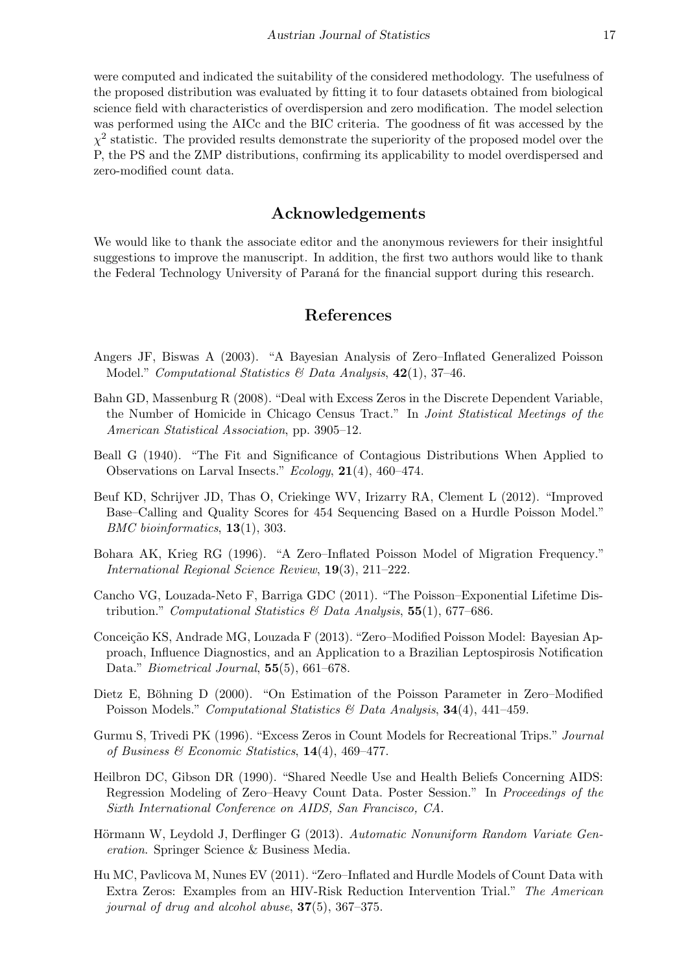were computed and indicated the suitability of the considered methodology. The usefulness of the proposed distribution was evaluated by fitting it to four datasets obtained from biological science field with characteristics of overdispersion and zero modification. The model selection was performed using the AICc and the BIC criteria. The goodness of fit was accessed by the  $\chi^2$  statistic. The provided results demonstrate the superiority of the proposed model over the P, the PS and the ZMP distributions, confirming its applicability to model overdispersed and zero-modified count data.

#### Acknowledgements

We would like to thank the associate editor and the anonymous reviewers for their insightful suggestions to improve the manuscript. In addition, the first two authors would like to thank the Federal Technology University of Paraná for the financial support during this research.

## References

- <span id="page-16-7"></span>Angers JF, Biswas A (2003). "A Bayesian Analysis of Zero–Inflated Generalized Poisson Model." Computational Statistics  $\mathcal B$  Data Analysis, 42(1), 37-46.
- <span id="page-16-3"></span>Bahn GD, Massenburg R (2008). "Deal with Excess Zeros in the Discrete Dependent Variable, the Number of Homicide in Chicago Census Tract." In Joint Statistical Meetings of the American Statistical Association, pp. 3905–12.
- <span id="page-16-11"></span>Beall G (1940). "The Fit and Significance of Contagious Distributions When Applied to Observations on Larval Insects." Ecology, 21(4), 460–474.
- <span id="page-16-6"></span>Beuf KD, Schrijver JD, Thas O, Criekinge WV, Irizarry RA, Clement L (2012). "Improved Base–Calling and Quality Scores for 454 Sequencing Based on a Hurdle Poisson Model." BMC bioinformatics, 13(1), 303.
- <span id="page-16-1"></span>Bohara AK, Krieg RG (1996). "A Zero–Inflated Poisson Model of Migration Frequency." International Regional Science Review, 19(3), 211–222.
- <span id="page-16-0"></span>Cancho VG, Louzada-Neto F, Barriga GDC (2011). "The Poisson–Exponential Lifetime Distribution." Computational Statistics & Data Analysis,  $55(1)$ , 677–686.
- <span id="page-16-8"></span>Conceição KS, Andrade MG, Louzada F (2013). "Zero-Modified Poisson Model: Bayesian Approach, Influence Diagnostics, and an Application to a Brazilian Leptospirosis Notification Data." *Biometrical Journal*, **55**(5), 661–678.
- <span id="page-16-9"></span>Dietz E, Böhning D (2000). "On Estimation of the Poisson Parameter in Zero–Modified Poisson Models." Computational Statistics & Data Analysis,  $34(4)$ ,  $441-459$ .
- <span id="page-16-2"></span>Gurmu S, Trivedi PK (1996). "Excess Zeros in Count Models for Recreational Trips." Journal of Business & Economic Statistics,  $14(4)$ ,  $469-477$ .
- <span id="page-16-4"></span>Heilbron DC, Gibson DR (1990). "Shared Needle Use and Health Beliefs Concerning AIDS: Regression Modeling of Zero–Heavy Count Data. Poster Session." In Proceedings of the Sixth International Conference on AIDS, San Francisco, CA.
- <span id="page-16-10"></span>Hörmann W, Leydold J, Derflinger G (2013). Automatic Nonuniform Random Variate Generation. Springer Science & Business Media.
- <span id="page-16-5"></span>Hu MC, Pavlicova M, Nunes EV (2011). "Zero–Inflated and Hurdle Models of Count Data with Extra Zeros: Examples from an HIV-Risk Reduction Intervention Trial." The American journal of drug and alcohol abuse,  $37(5)$ ,  $367-375$ .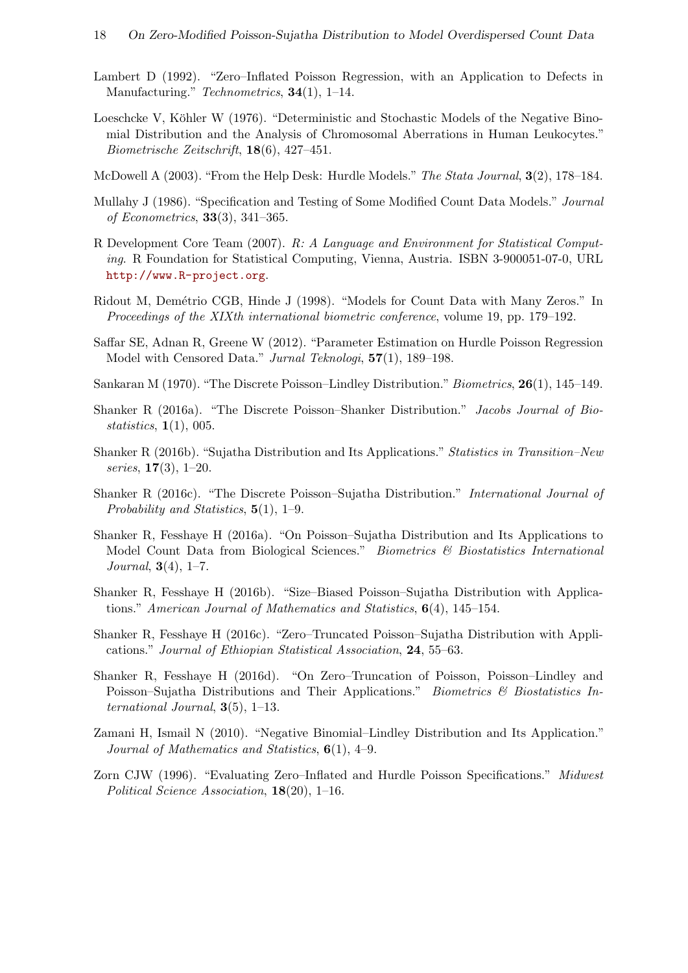- <span id="page-17-4"></span>Lambert D (1992). "Zero–Inflated Poisson Regression, with an Application to Defects in Manufacturing." Technometrics, **34**(1), 1–14.
- <span id="page-17-16"></span>Loeschcke V, Köhler W (1976). "Deterministic and Stochastic Models of the Negative Binomial Distribution and the Analysis of Chromosomal Aberrations in Human Leukocytes." Biometrische Zeitschrift, 18(6), 427–451.
- <span id="page-17-6"></span>McDowell A (2003). "From the Help Desk: Hurdle Models." The Stata Journal, 3(2), 178–184.
- <span id="page-17-3"></span>Mullahy J (1986). "Specification and Testing of Some Modified Count Data Models." Journal of Econometrics, 33(3), 341–365.
- <span id="page-17-15"></span>R Development Core Team (2007). R: A Language and Environment for Statistical Computing. R Foundation for Statistical Computing, Vienna, Austria. ISBN 3-900051-07-0, URL <http://www.R-project.org>.
- <span id="page-17-7"></span>Ridout M, Demétrio CGB, Hinde J (1998). "Models for Count Data with Many Zeros." In Proceedings of the XIXth international biometric conference, volume 19, pp. 179–192.
- <span id="page-17-14"></span>Saffar SE, Adnan R, Greene W (2012). "Parameter Estimation on Hurdle Poisson Regression Model with Censored Data." Jurnal Teknologi, 57(1), 189–198.
- <span id="page-17-0"></span>Sankaran M (1970). "The Discrete Poisson–Lindley Distribution." Biometrics, 26(1), 145–149.
- <span id="page-17-2"></span>Shanker R (2016a). "The Discrete Poisson–Shanker Distribution." Jacobs Journal of Biostatistics, 1(1), 005.
- <span id="page-17-8"></span>Shanker R (2016b). "Sujatha Distribution and Its Applications." Statistics in Transition–New series, 17(3), 1–20.
- <span id="page-17-9"></span>Shanker R (2016c). "The Discrete Poisson–Sujatha Distribution." International Journal of Probability and Statistics, 5(1), 1–9.
- <span id="page-17-10"></span>Shanker R, Fesshaye H (2016a). "On Poisson–Sujatha Distribution and Its Applications to Model Count Data from Biological Sciences." Biometrics & Biostatistics International *Journal*,  $3(4)$ ,  $1-7$ .
- <span id="page-17-11"></span>Shanker R, Fesshaye H (2016b). "Size–Biased Poisson–Sujatha Distribution with Applications." American Journal of Mathematics and Statistics,  $6(4)$ , 145–154.
- <span id="page-17-12"></span>Shanker R, Fesshaye H (2016c). "Zero–Truncated Poisson–Sujatha Distribution with Applications." Journal of Ethiopian Statistical Association, 24, 55–63.
- <span id="page-17-13"></span>Shanker R, Fesshaye H (2016d). "On Zero–Truncation of Poisson, Poisson–Lindley and Poisson–Sujatha Distributions and Their Applications." Biometrics & Biostatistics International Journal,  $3(5)$ , 1–13.
- <span id="page-17-1"></span>Zamani H, Ismail N (2010). "Negative Binomial–Lindley Distribution and Its Application." Journal of Mathematics and Statistics,  $6(1)$ , 4–9.
- <span id="page-17-5"></span>Zorn CJW (1996). "Evaluating Zero–Inflated and Hurdle Poisson Specifications." Midwest Political Science Association, 18(20), 1–16.